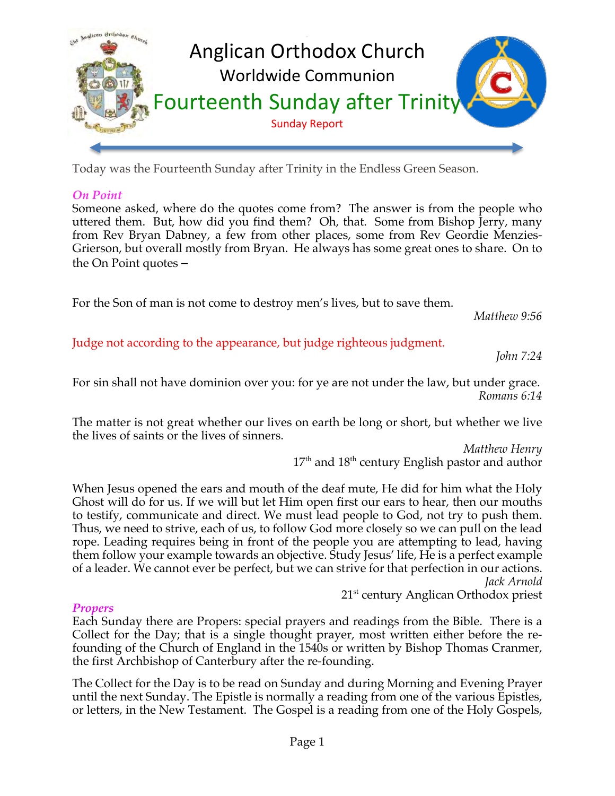

Today was the Fourteenth Sunday after Trinity in the Endless Green Season.

## *On Point*

Someone asked, where do the quotes come from? The answer is from the people who uttered them. But, how did you find them? Oh, that. Some from Bishop Jerry, many from Rev Bryan Dabney, a few from other places, some from Rev Geordie Menzies-Grierson, but overall mostly from Bryan. He always has some great ones to share. On to the On Point quotes –

For the Son of man is not come to destroy men's lives, but to save them.

*Matthew 9:56*

Judge not according to the appearance, but judge righteous judgment.

*John 7:24*

For sin shall not have dominion over you: for ye are not under the law, but under grace. *Romans 6:14*

The matter is not great whether our lives on earth be long or short, but whether we live the lives of saints or the lives of sinners.

> *Matthew Henry*  $17^{\text{th}}$  and  $18^{\text{th}}$  century English pastor and author

When Jesus opened the ears and mouth of the deaf mute, He did for him what the Holy Ghost will do for us. If we will but let Him open first our ears to hear, then our mouths to testify, communicate and direct. We must lead people to God, not try to push them. Thus, we need to strive, each of us, to follow God more closely so we can pull on the lead rope. Leading requires being in front of the people you are attempting to lead, having them follow your example towards an objective. Study Jesus' life, He is a perfect example of a leader. We cannot ever be perfect, but we can strive for that perfection in our actions. *Jack Arnold*

21<sup>st</sup> century Anglican Orthodox priest

# *Propers*

Each Sunday there are Propers: special prayers and readings from the Bible. There is a Collect for the Day; that is a single thought prayer, most written either before the refounding of the Church of England in the 1540s or written by Bishop Thomas Cranmer, the first Archbishop of Canterbury after the re-founding.

The Collect for the Day is to be read on Sunday and during Morning and Evening Prayer until the next Sunday. The Epistle is normally a reading from one of the various Epistles, or letters, in the New Testament. The Gospel is a reading from one of the Holy Gospels,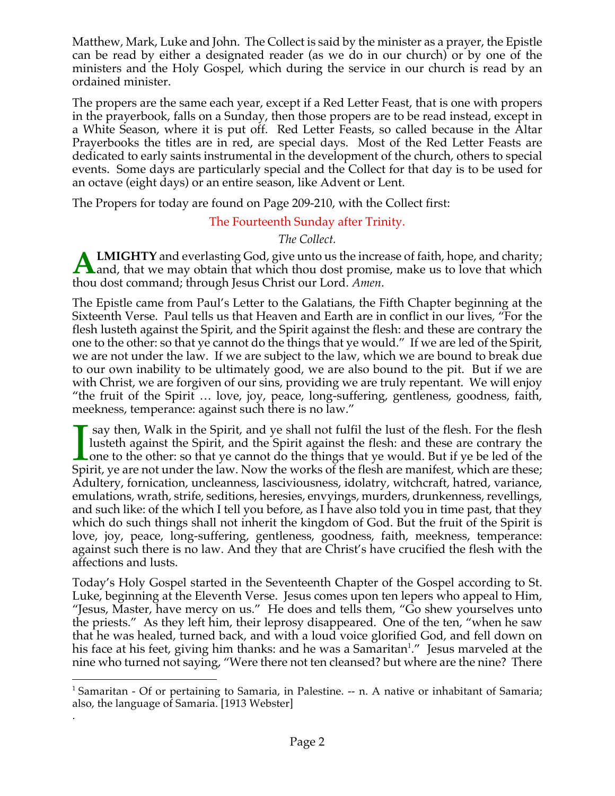Matthew, Mark, Luke and John. The Collect is said by the minister as a prayer, the Epistle can be read by either a designated reader (as we do in our church) or by one of the ministers and the Holy Gospel, which during the service in our church is read by an ordained minister.

The propers are the same each year, except if a Red Letter Feast, that is one with propers in the prayerbook, falls on a Sunday, then those propers are to be read instead, except in a White Season, where it is put off. Red Letter Feasts, so called because in the Altar Prayerbooks the titles are in red, are special days. Most of the Red Letter Feasts are dedicated to early saints instrumental in the development of the church, others to special events. Some days are particularly special and the Collect for that day is to be used for an octave (eight days) or an entire season, like Advent or Lent.

The Propers for today are found on Page 209-210, with the Collect first:

# The Fourteenth Sunday after Trinity.

*The Collect.*

**LMIGHTY** and everlasting God, give unto us the increase of faith, hope, and charity; **ALMIGHTY** and everlasting God, give unto us the increase of faith, hope, and charity;<br>and, that we may obtain that which thou dost promise, make us to love that which thou dost command; through Jesus Christ our Lord. *Amen*.

The Epistle came from Paul's Letter to the Galatians, the Fifth Chapter beginning at the Sixteenth Verse. Paul tells us that Heaven and Earth are in conflict in our lives, "For the flesh lusteth against the Spirit, and the Spirit against the flesh: and these are contrary the one to the other: so that ye cannot do the things that ye would." If we are led of the Spirit, we are not under the law. If we are subject to the law, which we are bound to break due to our own inability to be ultimately good, we are also bound to the pit. But if we are with Christ, we are forgiven of our sins, providing we are truly repentant. We will enjoy "the fruit of the Spirit … love, joy, peace, long-suffering, gentleness, goodness, faith, meekness, temperance: against such there is no law."

say then, Walk in the Spirit, and ye shall not fulfil the lust of the flesh. For the flesh lusteth against the Spirit, and the Spirit against the flesh: and these are contrary the Lone to the other: so that ye cannot do the things that ye would. But if ye be led of the I say then, Walk in the Spirit, and ye shall not fulfil the lust of the flesh. For the flesh lusteth against the Spirit, and the Spirit against the flesh: and these are contrary the one to the other: so that ye cannot do t Adultery, fornication, uncleanness, lasciviousness, idolatry, witchcraft, hatred, variance, emulations, wrath, strife, seditions, heresies, envyings, murders, drunkenness, revellings, and such like: of the which I tell you before, as I have also told you in time past, that they which do such things shall not inherit the kingdom of God. But the fruit of the Spirit is love, joy, peace, long-suffering, gentleness, goodness, faith, meekness, temperance: against such there is no law. And they that are Christ's have crucified the flesh with the affections and lusts.

Today's Holy Gospel started in the Seventeenth Chapter of the Gospel according to St. Luke, beginning at the Eleventh Verse. Jesus comes upon ten lepers who appeal to Him, "Jesus, Master, have mercy on us." He does and tells them, "Go shew yourselves unto the priests." As they left him, their leprosy disappeared. One of the ten, "when he saw that he was healed, turned back, and with a loud voice glorified God, and fell down on his face at his feet, giving him thanks: and he was a Samaritan<sup>1</sup>." Jesus marveled at the nine who turned not saying, "Were there not ten cleansed? but where are the nine? There

.

<sup>&</sup>lt;sup>1</sup> Samaritan - Of or pertaining to Samaria, in Palestine.  $-$  n. A native or inhabitant of Samaria; also, the language of Samaria. [1913 Webster]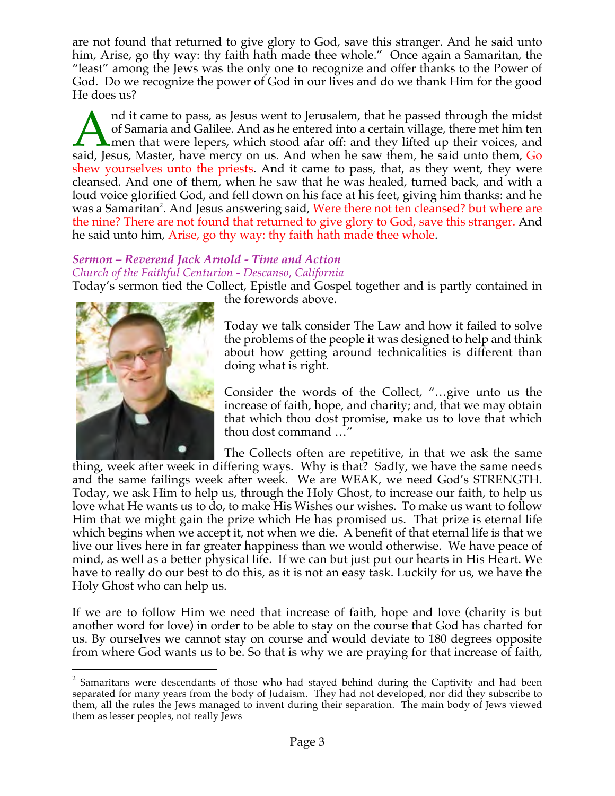are not found that returned to give glory to God, save this stranger. And he said unto him, Arise, go thy way: thy faith hath made thee whole." Once again a Samaritan, the "least" among the Jews was the only one to recognize and offer thanks to the Power of God. Do we recognize the power of God in our lives and do we thank Him for the good He does us?

nd it came to pass, as Jesus went to Jerusalem, that he passed through the midst of Samaria and Galilee. And as he entered into a certain village, there met him ten  $\Box$  men that were lepers, which stood afar off: and they lifted up their voices, and and it came to pass, as Jesus went to Jerusalem, that he passed through the midst of Samaria and Galilee. And as he entered into a certain village, there met him ten men that were lepers, which stood afar off: and they lif shew yourselves unto the priests. And it came to pass, that, as they went, they were cleansed. And one of them, when he saw that he was healed, turned back, and with a loud voice glorified God, and fell down on his face at his feet, giving him thanks: and he was a Samaritan<sup>2</sup>. And Jesus answering said, Were there not ten cleansed? but where are the nine? There are not found that returned to give glory to God, save this stranger. And he said unto him, Arise, go thy way: thy faith hath made thee whole.

#### *Sermon – Reverend Jack Arnold - Time and Action Church of the Faithful Centurion - Descanso, California*

Today's sermon tied the Collect, Epistle and Gospel together and is partly contained in



the forewords above.

Today we talk consider The Law and how it failed to solve the problems of the people it was designed to help and think about how getting around technicalities is different than doing what is right.

Consider the words of the Collect, "…give unto us the increase of faith, hope, and charity; and, that we may obtain that which thou dost promise, make us to love that which thou dost command …"

The Collects often are repetitive, in that we ask the same thing, week after week in differing ways. Why is that? Sadly, we have the same needs and the same failings week after week. We are WEAK, we need God's STRENGTH. Today, we ask Him to help us, through the Holy Ghost, to increase our faith, to help us love what He wants us to do, to make His Wishes our wishes. To make us want to follow Him that we might gain the prize which He has promised us. That prize is eternal life which begins when we accept it, not when we die. A benefit of that eternal life is that we live our lives here in far greater happiness than we would otherwise. We have peace of mind, as well as a better physical life. If we can but just put our hearts in His Heart. We have to really do our best to do this, as it is not an easy task. Luckily for us, we have the Holy Ghost who can help us.

If we are to follow Him we need that increase of faith, hope and love (charity is but another word for love) in order to be able to stay on the course that God has charted for us. By ourselves we cannot stay on course and would deviate to 180 degrees opposite from where God wants us to be. So that is why we are praying for that increase of faith,

 $2$  Samaritans were descendants of those who had stayed behind during the Captivity and had been separated for many years from the body of Judaism. They had not developed, nor did they subscribe to them, all the rules the Jews managed to invent during their separation. The main body of Jews viewed them as lesser peoples, not really Jews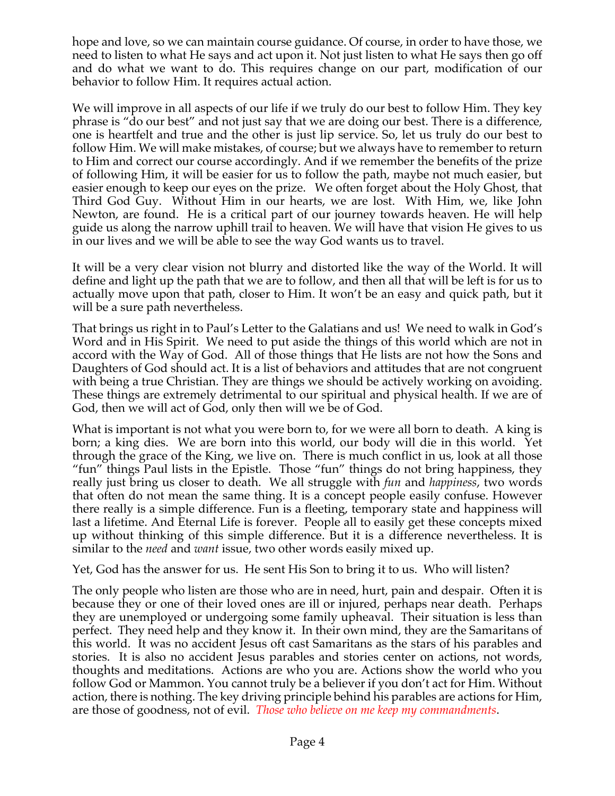hope and love, so we can maintain course guidance. Of course, in order to have those, we need to listen to what He says and act upon it. Not just listen to what He says then go off and do what we want to do. This requires change on our part, modification of our behavior to follow Him. It requires actual action.

We will improve in all aspects of our life if we truly do our best to follow Him. They key phrase is "do our best" and not just say that we are doing our best. There is a difference, one is heartfelt and true and the other is just lip service. So, let us truly do our best to follow Him. We will make mistakes, of course; but we always have to remember to return to Him and correct our course accordingly. And if we remember the benefits of the prize of following Him, it will be easier for us to follow the path, maybe not much easier, but easier enough to keep our eyes on the prize. We often forget about the Holy Ghost, that Third God Guy. Without Him in our hearts, we are lost. With Him, we, like John Newton, are found. He is a critical part of our journey towards heaven. He will help guide us along the narrow uphill trail to heaven. We will have that vision He gives to us in our lives and we will be able to see the way God wants us to travel.

It will be a very clear vision not blurry and distorted like the way of the World. It will define and light up the path that we are to follow, and then all that will be left is for us to actually move upon that path, closer to Him. It won't be an easy and quick path, but it will be a sure path nevertheless.

That brings us right in to Paul's Letter to the Galatians and us! We need to walk in God's Word and in His Spirit. We need to put aside the things of this world which are not in accord with the Way of God. All of those things that He lists are not how the Sons and Daughters of God should act. It is a list of behaviors and attitudes that are not congruent with being a true Christian. They are things we should be actively working on avoiding. These things are extremely detrimental to our spiritual and physical health. If we are of God, then we will act of God, only then will we be of God.

What is important is not what you were born to, for we were all born to death. A king is born; a king dies. We are born into this world, our body will die in this world. Yet through the grace of the King, we live on. There is much conflict in us, look at all those "fun" things Paul lists in the Epistle. Those "fun" things do not bring happiness, they really just bring us closer to death. We all struggle with *fun* and *happiness*, two words that often do not mean the same thing. It is a concept people easily confuse. However there really is a simple difference. Fun is a fleeting, temporary state and happiness will last a lifetime. And Eternal Life is forever. People all to easily get these concepts mixed up without thinking of this simple difference. But it is a difference nevertheless. It is similar to the *need* and *want* issue, two other words easily mixed up.

Yet, God has the answer for us. He sent His Son to bring it to us. Who will listen?

The only people who listen are those who are in need, hurt, pain and despair. Often it is because they or one of their loved ones are ill or injured, perhaps near death. Perhaps they are unemployed or undergoing some family upheaval. Their situation is less than perfect. They need help and they know it. In their own mind, they are the Samaritans of this world. It was no accident Jesus oft cast Samaritans as the stars of his parables and stories. It is also no accident Jesus parables and stories center on actions, not words, thoughts and meditations. Actions are who you are. Actions show the world who you follow God or Mammon. You cannot truly be a believer if you don't act for Him. Without action, there is nothing. The key driving principle behind his parables are actions for Him, are those of goodness, not of evil. *Those who believe on me keep my commandments*.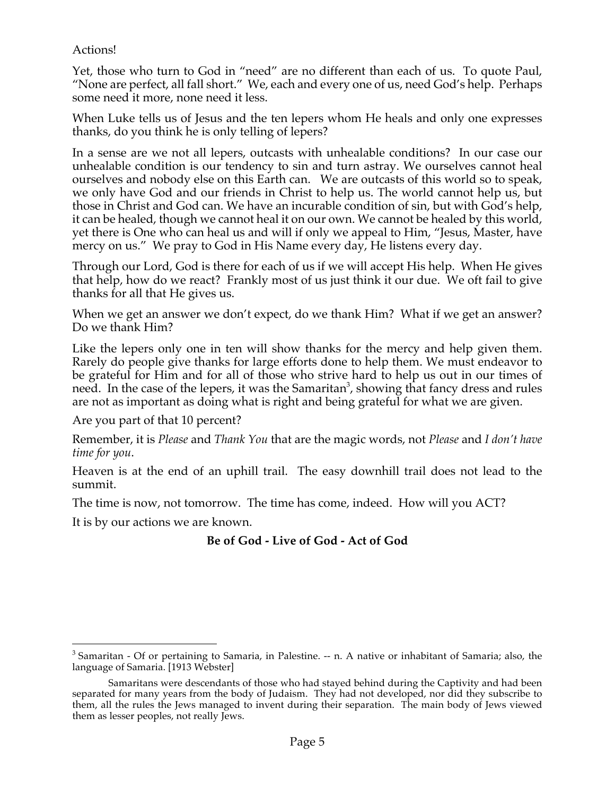## Actions!

Yet, those who turn to God in "need" are no different than each of us. To quote Paul, "None are perfect, all fall short." We, each and every one of us, need God's help. Perhaps some need it more, none need it less.

When Luke tells us of Jesus and the ten lepers whom He heals and only one expresses thanks, do you think he is only telling of lepers?

In a sense are we not all lepers, outcasts with unhealable conditions? In our case our unhealable condition is our tendency to sin and turn astray. We ourselves cannot heal ourselves and nobody else on this Earth can. We are outcasts of this world so to speak, we only have God and our friends in Christ to help us. The world cannot help us, but those in Christ and God can. We have an incurable condition of sin, but with God's help, it can be healed, though we cannot heal it on our own. We cannot be healed by this world, yet there is One who can heal us and will if only we appeal to Him, "Jesus, Master, have mercy on us." We pray to God in His Name every day, He listens every day.

Through our Lord, God is there for each of us if we will accept His help. When He gives that help, how do we react? Frankly most of us just think it our due. We oft fail to give thanks for all that He gives us.

When we get an answer we don't expect, do we thank Him? What if we get an answer? Do we thank Him?

Like the lepers only one in ten will show thanks for the mercy and help given them. Rarely do people give thanks for large efforts done to help them. We must endeavor to be grateful for Him and for all of those who strive hard to help us out in our times of need. In the case of the lepers, it was the Samaritan $^3$ , showing that fancy dress and rules are not as important as doing what is right and being grateful for what we are given.

Are you part of that 10 percent?

Remember, it is *Please* and *Thank You* that are the magic words, not *Please* and *I don't have time for you*.

Heaven is at the end of an uphill trail. The easy downhill trail does not lead to the summit.

The time is now, not tomorrow. The time has come, indeed. How will you ACT?

It is by our actions we are known.

# **Be of God - Live of God - Act of God**

 $3$  Samaritan - Of or pertaining to Samaria, in Palestine.  $-$  n. A native or inhabitant of Samaria; also, the language of Samaria. [1913 Webster]

Samaritans were descendants of those who had stayed behind during the Captivity and had been separated for many years from the body of Judaism. They had not developed, nor did they subscribe to them, all the rules the Jews managed to invent during their separation. The main body of Jews viewed them as lesser peoples, not really Jews.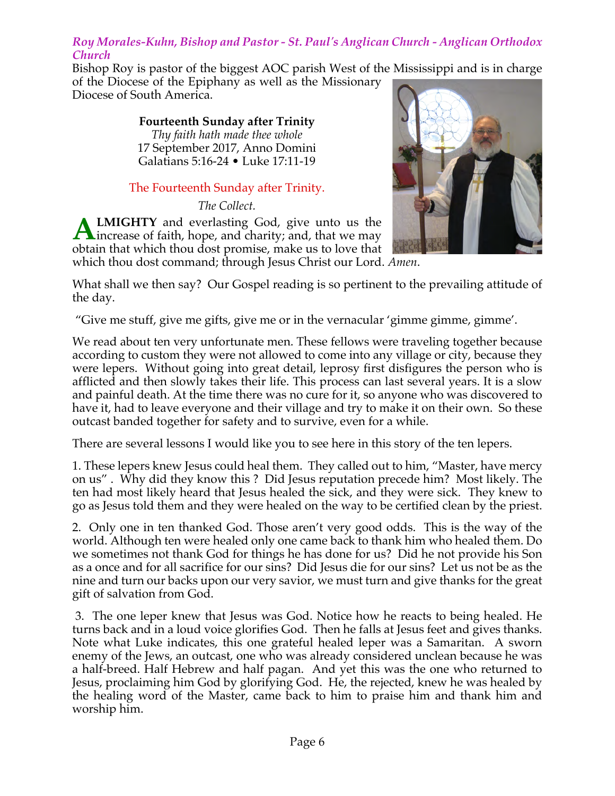## *Roy Morales-Kuhn, Bishop and Pastor - St. Paul's Anglican Church - Anglican Orthodox Church*

Bishop Roy is pastor of the biggest AOC parish West of the Mississippi and is in charge of the Diocese of the Epiphany as well as the Missionary

Diocese of South America.

**Fourteenth Sunday after Trinity** *Thy faith hath made thee whole* 17 September 2017, Anno Domini Galatians 5:16-24 • Luke 17:11-19

# The Fourteenth Sunday after Trinity.

*The Collect.*

**LMIGHTY** and everlasting God, give unto us the **ALMIGHTY** and everlasting God, give unto us the increase of faith, hope, and charity; and, that we may obtain that which thou dost promise, make us to love that



which thou dost command; through Jesus Christ our Lord. *Amen*.

What shall we then say? Our Gospel reading is so pertinent to the prevailing attitude of the day.

"Give me stuff, give me gifts, give me or in the vernacular 'gimme gimme, gimme'.

We read about ten very unfortunate men. These fellows were traveling together because according to custom they were not allowed to come into any village or city, because they were lepers. Without going into great detail, leprosy first disfigures the person who is afflicted and then slowly takes their life. This process can last several years. It is a slow and painful death. At the time there was no cure for it, so anyone who was discovered to have it, had to leave everyone and their village and try to make it on their own. So these outcast banded together for safety and to survive, even for a while.

There are several lessons I would like you to see here in this story of the ten lepers.

1. These lepers knew Jesus could heal them. They called out to him, "Master, have mercy on us" . Why did they know this ? Did Jesus reputation precede him? Most likely. The ten had most likely heard that Jesus healed the sick, and they were sick. They knew to go as Jesus told them and they were healed on the way to be certified clean by the priest.

2. Only one in ten thanked God. Those aren't very good odds. This is the way of the world. Although ten were healed only one came back to thank him who healed them. Do we sometimes not thank God for things he has done for us? Did he not provide his Son as a once and for all sacrifice for our sins? Did Jesus die for our sins? Let us not be as the nine and turn our backs upon our very savior, we must turn and give thanks for the great gift of salvation from God.

3. The one leper knew that Jesus was God. Notice how he reacts to being healed. He turns back and in a loud voice glorifies God. Then he falls at Jesus feet and gives thanks. Note what Luke indicates, this one grateful healed leper was a Samaritan. A sworn enemy of the Jews, an outcast, one who was already considered unclean because he was a half-breed. Half Hebrew and half pagan. And yet this was the one who returned to Jesus, proclaiming him God by glorifying God. He, the rejected, knew he was healed by the healing word of the Master, came back to him to praise him and thank him and worship him.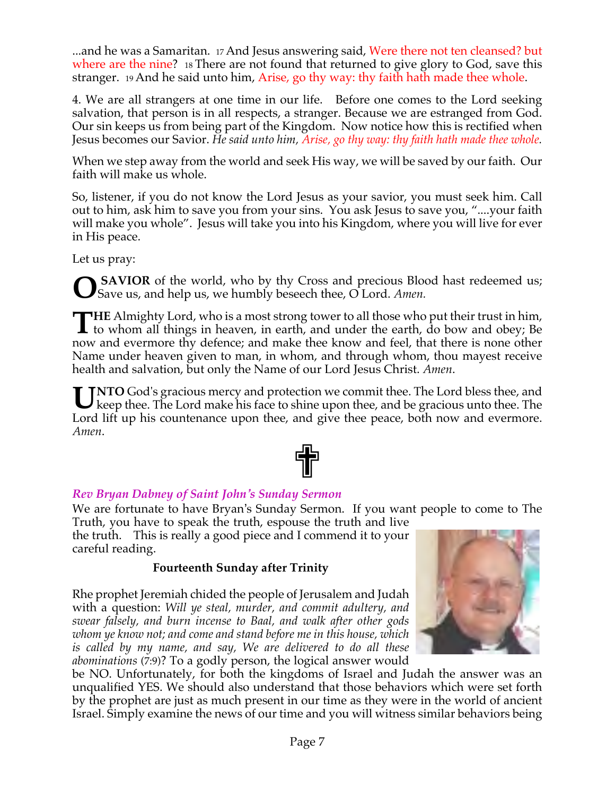...and he was a Samaritan. 17 And Jesus answering said, Were there not ten cleansed? but where are the nine? 18 There are not found that returned to give glory to God, save this stranger. 19 And he said unto him, Arise, go thy way: thy faith hath made thee whole.

4. We are all strangers at one time in our life. Before one comes to the Lord seeking salvation, that person is in all respects, a stranger. Because we are estranged from God. Our sin keeps us from being part of the Kingdom. Now notice how this is rectified when Jesus becomes our Savior. *He said unto him, Arise, go thy way: thy faith hath made thee whole.*

When we step away from the world and seek His way, we will be saved by our faith. Our faith will make us whole.

So, listener, if you do not know the Lord Jesus as your savior, you must seek him. Call out to him, ask him to save you from your sins. You ask Jesus to save you, "....your faith will make you whole". Jesus will take you into his Kingdom, where you will live for ever in His peace.

Let us pray:

**SAVIOR** of the world, who by thy Cross and precious Blood hast redeemed us; Save us, and help us, we humbly beseech thee, O Lord. *Amen.* **O**

**HE** Almighty Lord, who is a most strong tower to all those who put their trust in him,<br>to whom all things in heaven, in earth, and under the earth, do bow and obey; Be  $\blacktriangle$  to whom all things in heaven, in earth, and under the earth, do bow and obey; Be now and evermore thy defence; and make thee know and feel, that there is none other Name under heaven given to man, in whom, and through whom, thou mayest receive health and salvation, but only the Name of our Lord Jesus Christ. *Amen*.

**TNTO** God's gracious mercy and protection we commit thee. The Lord bless thee, and UNTO God's gracious mercy and protection we commit thee. The Lord bless thee, and keep thee. The Lord make his face to shine upon thee, and be gracious unto thee. The Lord lift up his countenance upon thee, and give thee peace, both now and evermore. *Amen*.



## *Rev Bryan Dabney of Saint John's Sunday Sermon*

We are fortunate to have Bryan's Sunday Sermon. If you want people to come to The Truth, you have to speak the truth, espouse the truth and live

the truth. This is really a good piece and I commend it to your careful reading.

## **Fourteenth Sunday after Trinity**

Rhe prophet Jeremiah chided the people of Jerusalem and Judah with a question: *Will ye steal, murder, and commit adultery, and swear falsely, and burn incense to Baal, and walk after other gods whom ye know not; and come and stand before me in this house, which is called by my name, and say, We are delivered to do all these abominations* (7:9)? To a godly person, the logical answer would



be NO. Unfortunately, for both the kingdoms of Israel and Judah the answer was an unqualified YES. We should also understand that those behaviors which were set forth by the prophet are just as much present in our time as they were in the world of ancient Israel. Simply examine the news of our time and you will witness similar behaviors being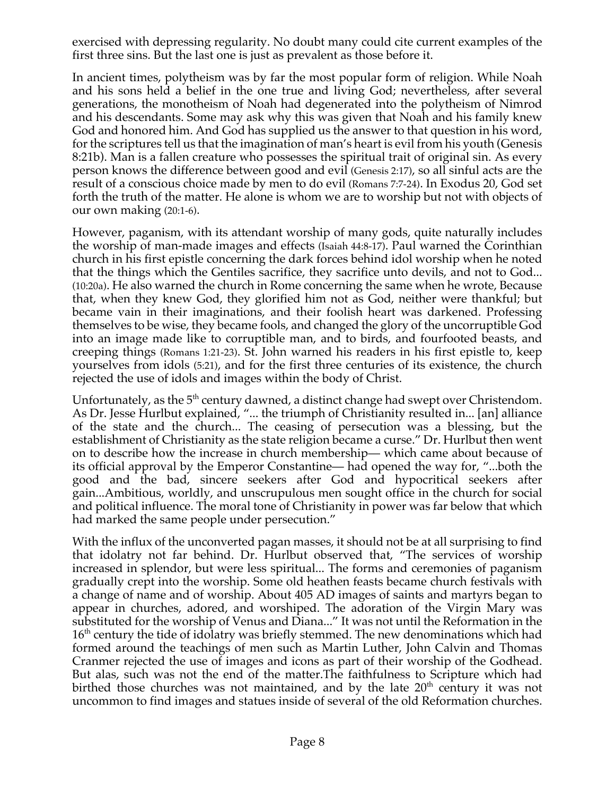exercised with depressing regularity. No doubt many could cite current examples of the first three sins. But the last one is just as prevalent as those before it.

In ancient times, polytheism was by far the most popular form of religion. While Noah and his sons held a belief in the one true and living God; nevertheless, after several generations, the monotheism of Noah had degenerated into the polytheism of Nimrod and his descendants. Some may ask why this was given that Noah and his family knew God and honored him. And God has supplied us the answer to that question in his word, for the scriptures tell us that the imagination of man's heart is evil from his youth (Genesis 8:21b). Man is a fallen creature who possesses the spiritual trait of original sin. As every person knows the difference between good and evil (Genesis 2:17), so all sinful acts are the result of a conscious choice made by men to do evil (Romans 7:7-24). In Exodus 20, God set forth the truth of the matter. He alone is whom we are to worship but not with objects of our own making (20:1-6).

However, paganism, with its attendant worship of many gods, quite naturally includes the worship of man-made images and effects (Isaiah 44:8-17). Paul warned the Corinthian church in his first epistle concerning the dark forces behind idol worship when he noted that the things which the Gentiles sacrifice, they sacrifice unto devils, and not to God... (10:20a). He also warned the church in Rome concerning the same when he wrote, Because that, when they knew God, they glorified him not as God, neither were thankful; but became vain in their imaginations, and their foolish heart was darkened. Professing themselves to be wise, they became fools, and changed the glory of the uncorruptible God into an image made like to corruptible man, and to birds, and fourfooted beasts, and creeping things (Romans 1:21-23). St. John warned his readers in his first epistle to, keep yourselves from idols (5:21), and for the first three centuries of its existence, the church rejected the use of idols and images within the body of Christ.

Unfortunately, as the  $5<sup>th</sup>$  century dawned, a distinct change had swept over Christendom. As Dr. Jesse Hurlbut explained, "... the triumph of Christianity resulted in... [an] alliance of the state and the church... The ceasing of persecution was a blessing, but the establishment of Christianity as the state religion became a curse." Dr. Hurlbut then went on to describe how the increase in church membership— which came about because of its official approval by the Emperor Constantine— had opened the way for, "...both the good and the bad, sincere seekers after God and hypocritical seekers after gain...Ambitious, worldly, and unscrupulous men sought office in the church for social and political influence. The moral tone of Christianity in power was far below that which had marked the same people under persecution."

With the influx of the unconverted pagan masses, it should not be at all surprising to find that idolatry not far behind. Dr. Hurlbut observed that, "The services of worship increased in splendor, but were less spiritual... The forms and ceremonies of paganism gradually crept into the worship. Some old heathen feasts became church festivals with a change of name and of worship. About 405 AD images of saints and martyrs began to appear in churches, adored, and worshiped. The adoration of the Virgin Mary was substituted for the worship of Venus and Diana..." It was not until the Reformation in the  $16<sup>th</sup>$  century the tide of idolatry was briefly stemmed. The new denominations which had formed around the teachings of men such as Martin Luther, John Calvin and Thomas Cranmer rejected the use of images and icons as part of their worship of the Godhead. But alas, such was not the end of the matter.The faithfulness to Scripture which had birthed those churches was not maintained, and by the late  $20<sup>th</sup>$  century it was not uncommon to find images and statues inside of several of the old Reformation churches.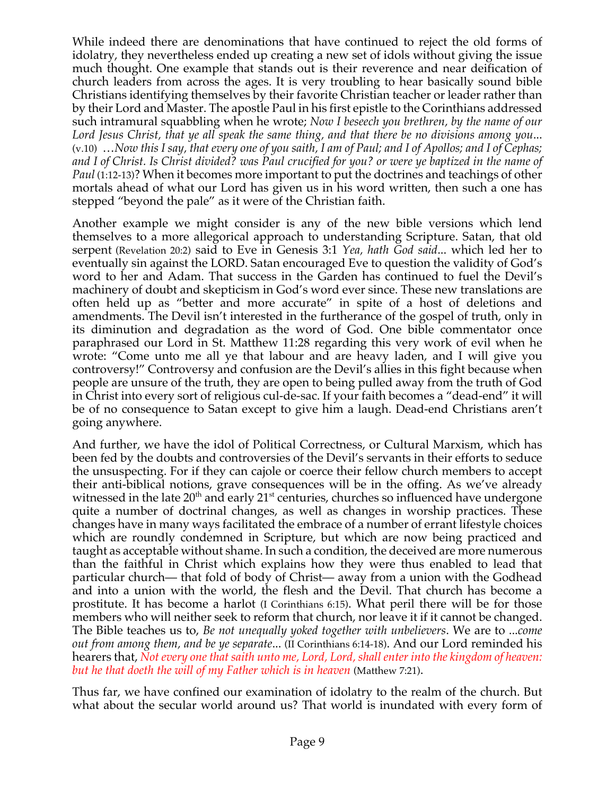While indeed there are denominations that have continued to reject the old forms of idolatry, they nevertheless ended up creating a new set of idols without giving the issue much thought. One example that stands out is their reverence and near deification of church leaders from across the ages. It is very troubling to hear basically sound bible Christians identifying themselves by their favorite Christian teacher or leader rather than by their Lord and Master. The apostle Paul in his first epistle to the Corinthians addressed such intramural squabbling when he wrote; *Now I beseech you brethren, by the name of our Lord Jesus Christ, that ye all speak the same thing, and that there be no divisions among you*... (v.10) ...Now this I say, that every one of you saith, I am of Paul; and I of Apollos; and I of Cephas; and I of Christ. Is Christ divided? was Paul crucified for you? or were ye baptized in the name of *Paul* (1:12-13)? When it becomes more important to put the doctrines and teachings of other mortals ahead of what our Lord has given us in his word written, then such a one has stepped "beyond the pale" as it were of the Christian faith.

Another example we might consider is any of the new bible versions which lend themselves to a more allegorical approach to understanding Scripture. Satan, that old serpent (Revelation 20:2) said to Eve in Genesis 3:1 *Yea, hath God said*... which led her to eventually sin against the LORD. Satan encouraged Eve to question the validity of God's word to her and Adam. That success in the Garden has continued to fuel the Devil's machinery of doubt and skepticism in God's word ever since. These new translations are often held up as "better and more accurate" in spite of a host of deletions and amendments. The Devil isn't interested in the furtherance of the gospel of truth, only in its diminution and degradation as the word of God. One bible commentator once paraphrased our Lord in St. Matthew 11:28 regarding this very work of evil when he wrote: "Come unto me all ye that labour and are heavy laden, and I will give you controversy!" Controversy and confusion are the Devil's allies in this fight because when people are unsure of the truth, they are open to being pulled away from the truth of God in Christ into every sort of religious cul-de-sac. If your faith becomes a "dead-end" it will be of no consequence to Satan except to give him a laugh. Dead-end Christians aren't going anywhere.

And further, we have the idol of Political Correctness, or Cultural Marxism, which has been fed by the doubts and controversies of the Devil's servants in their efforts to seduce the unsuspecting. For if they can cajole or coerce their fellow church members to accept their anti-biblical notions, grave consequences will be in the offing. As we've already witnessed in the late  $20<sup>th</sup>$  and early  $21<sup>st</sup>$  centuries, churches so influenced have undergone quite a number of doctrinal changes, as well as changes in worship practices. These changes have in many ways facilitated the embrace of a number of errant lifestyle choices which are roundly condemned in Scripture, but which are now being practiced and taught as acceptable without shame. In such a condition, the deceived are more numerous than the faithful in Christ which explains how they were thus enabled to lead that particular church— that fold of body of Christ— away from a union with the Godhead and into a union with the world, the flesh and the Devil. That church has become a prostitute. It has become a harlot (I Corinthians 6:15). What peril there will be for those members who will neither seek to reform that church, nor leave it if it cannot be changed. The Bible teaches us to, *Be not unequally yoked together with unbelievers*. We are to ...*come out from among them, and be ye separate*... (II Corinthians 6:14-18). And our Lord reminded his hearers that, *Not every one that saith unto me, Lord, Lord, shall enter into the kingdom of heaven: but he that doeth the will of my Father which is in heaven* (Matthew 7:21).

Thus far, we have confined our examination of idolatry to the realm of the church. But what about the secular world around us? That world is inundated with every form of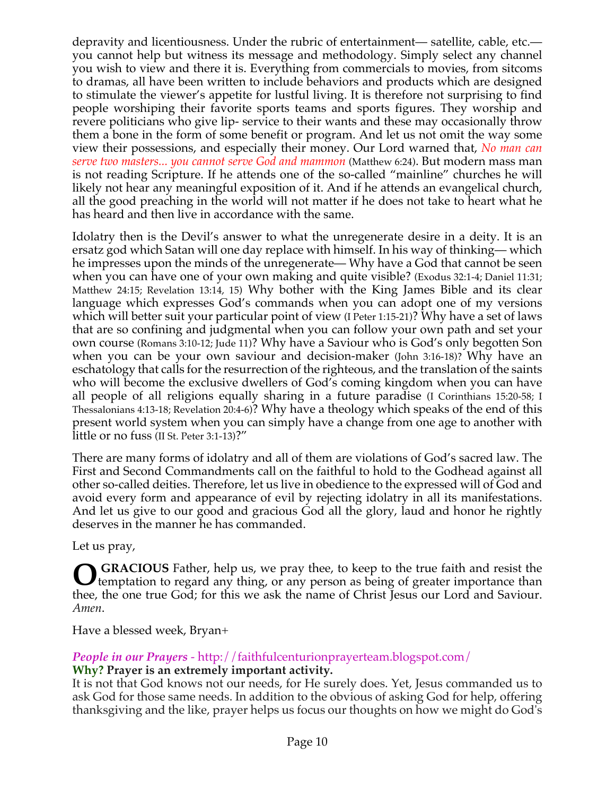depravity and licentiousness. Under the rubric of entertainment— satellite, cable, etc. you cannot help but witness its message and methodology. Simply select any channel you wish to view and there it is. Everything from commercials to movies, from sitcoms to dramas, all have been written to include behaviors and products which are designed to stimulate the viewer's appetite for lustful living. It is therefore not surprising to find people worshiping their favorite sports teams and sports figures. They worship and revere politicians who give lip- service to their wants and these may occasionally throw them a bone in the form of some benefit or program. And let us not omit the way some view their possessions, and especially their money. Our Lord warned that, *No man can serve two masters... you cannot serve God and mammon* (Matthew 6:24). But modern mass man is not reading Scripture. If he attends one of the so-called "mainline" churches he will likely not hear any meaningful exposition of it. And if he attends an evangelical church, all the good preaching in the world will not matter if he does not take to heart what he has heard and then live in accordance with the same.

Idolatry then is the Devil's answer to what the unregenerate desire in a deity. It is an ersatz god which Satan will one day replace with himself. In his way of thinking— which he impresses upon the minds of the unregenerate— Why have a God that cannot be seen when you can have one of your own making and quite visible? (Exodus 32:1-4; Daniel 11:31; Matthew 24:15; Revelation 13:14, 15) Why bother with the King James Bible and its clear language which expresses God's commands when you can adopt one of my versions which will better suit your particular point of view (I Peter 1:15-21)? Why have a set of laws that are so confining and judgmental when you can follow your own path and set your own course (Romans 3:10-12; Jude 11)? Why have a Saviour who is God's only begotten Son when you can be your own saviour and decision-maker (John 3:16-18)? Why have an eschatology that calls for the resurrection of the righteous, and the translation of the saints who will become the exclusive dwellers of God's coming kingdom when you can have all people of all religions equally sharing in a future paradise (I Corinthians 15:20-58; I Thessalonians 4:13-18; Revelation 20:4-6)? Why have a theology which speaks of the end of this present world system when you can simply have a change from one age to another with little or no fuss (II St. Peter 3:1-13)?"

There are many forms of idolatry and all of them are violations of God's sacred law. The First and Second Commandments call on the faithful to hold to the Godhead against all other so-called deities. Therefore, let us live in obedience to the expressed will of God and avoid every form and appearance of evil by rejecting idolatry in all its manifestations. And let us give to our good and gracious God all the glory, laud and honor he rightly deserves in the manner he has commanded.

Let us pray,

GRACIOUS Father, help us, we pray thee, to keep to the true faith and resist the temptation to regard any thing, or any person as being of greater importance than temptation to regard any thing, or any person as being of greater importance than thee, the one true God; for this we ask the name of Christ Jesus our Lord and Saviour. *Amen*.

Have a blessed week, Bryan+

# *People in our Prayers* - http://faithfulcenturionprayerteam.blogspot.com/ **Why? Prayer is an extremely important activity.**

It is not that God knows not our needs, for He surely does. Yet, Jesus commanded us to ask God for those same needs. In addition to the obvious of asking God for help, offering thanksgiving and the like, prayer helps us focus our thoughts on how we might do God's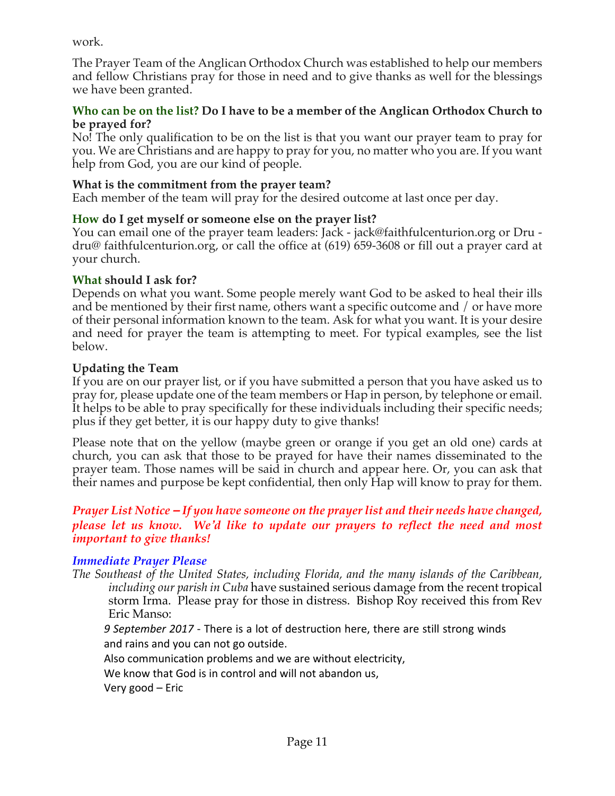work.

The Prayer Team of the Anglican Orthodox Church was established to help our members and fellow Christians pray for those in need and to give thanks as well for the blessings we have been granted.

### **Who can be on the list? Do I have to be a member of the Anglican Orthodox Church to be prayed for?**

No! The only qualification to be on the list is that you want our prayer team to pray for you. We are Christians and are happy to pray for you, no matter who you are. If you want help from God, you are our kind of people.

## **What is the commitment from the prayer team?**

Each member of the team will pray for the desired outcome at last once per day.

# **How do I get myself or someone else on the prayer list?**

You can email one of the prayer team leaders: Jack - jack@faithfulcenturion.org or Dru dru@ faithfulcenturion.org, or call the office at (619) 659-3608 or fill out a prayer card at your church.

## **What should I ask for?**

Depends on what you want. Some people merely want God to be asked to heal their ills and be mentioned by their first name, others want a specific outcome and / or have more of their personal information known to the team. Ask for what you want. It is your desire and need for prayer the team is attempting to meet. For typical examples, see the list below.

# **Updating the Team**

If you are on our prayer list, or if you have submitted a person that you have asked us to pray for, please update one of the team members or Hap in person, by telephone or email. It helps to be able to pray specifically for these individuals including their specific needs; plus if they get better, it is our happy duty to give thanks!

Please note that on the yellow (maybe green or orange if you get an old one) cards at church, you can ask that those to be prayed for have their names disseminated to the prayer team. Those names will be said in church and appear here. Or, you can ask that their names and purpose be kept confidential, then only Hap will know to pray for them.

## *Prayer List Notice – If you have someone on the prayer list and their needs have changed, please let us know. We'd like to update our prayers to reflect the need and most important to give thanks!*

# *Immediate Prayer Please*

*The Southeast of the United States, including Florida, and the many islands of the Caribbean, including our parish in Cuba* have sustained serious damage from the recent tropical storm Irma. Please pray for those in distress. Bishop Roy received this from Rev Eric Manso:

9 September 2017 - There is a lot of destruction here, there are still strong winds and rains and you can not go outside.

Also communication problems and we are without electricity,

We know that God is in control and will not abandon us,

Very good – Eric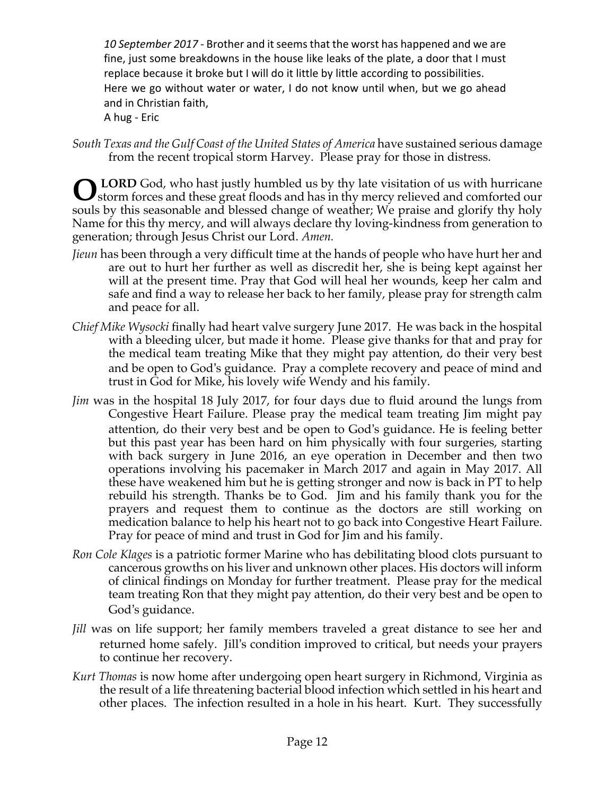10 September 2017 - Brother and it seems that the worst has happened and we are fine, just some breakdowns in the house like leaks of the plate, a door that I must replace because it broke but I will do it little by little according to possibilities. Here we go without water or water, I do not know until when, but we go ahead and in Christian faith,

A hug - Eric

*South Texas and the Gulf Coast of the United States of America* have sustained serious damage from the recent tropical storm Harvey. Please pray for those in distress.

**LORD** God, who hast justly humbled us by thy late visitation of us with hurricane **O** LORD God, who hast justly humbled us by thy late visitation of us with hurricane storm forces and these great floods and has in thy mercy relieved and comforted our souls by this seasonable and blessed change of weather; We praise and glorify thy holy Name for this thy mercy, and will always declare thy loving-kindness from generation to generation; through Jesus Christ our Lord. *Amen.*

- *Jieun* has been through a very difficult time at the hands of people who have hurt her and are out to hurt her further as well as discredit her, she is being kept against her will at the present time. Pray that God will heal her wounds, keep her calm and safe and find a way to release her back to her family, please pray for strength calm and peace for all.
- *Chief Mike Wysocki* finally had heart valve surgery June 2017. He was back in the hospital with a bleeding ulcer, but made it home. Please give thanks for that and pray for the medical team treating Mike that they might pay attention, do their very best and be open to God's guidance. Pray a complete recovery and peace of mind and trust in God for Mike, his lovely wife Wendy and his family.
- *Jim* was in the hospital 18 July 2017, for four days due to fluid around the lungs from Congestive Heart Failure. Please pray the medical team treating Jim might pay attention, do their very best and be open to God's guidance. He is feeling better but this past year has been hard on him physically with four surgeries, starting with back surgery in June 2016, an eye operation in December and then two operations involving his pacemaker in March 2017 and again in May 2017. All these have weakened him but he is getting stronger and now is back in PT to help rebuild his strength. Thanks be to God. Jim and his family thank you for the prayers and request them to continue as the doctors are still working on medication balance to help his heart not to go back into Congestive Heart Failure. Pray for peace of mind and trust in God for Jim and his family.
- *Ron Cole Klages* is a patriotic former Marine who has debilitating blood clots pursuant to cancerous growths on his liver and unknown other places. His doctors will inform of clinical findings on Monday for further treatment. Please pray for the medical team treating Ron that they might pay attention, do their very best and be open to God's guidance.
- *Jill* was on life support; her family members traveled a great distance to see her and returned home safely. Jill's condition improved to critical, but needs your prayers to continue her recovery.
- *Kurt Thomas* is now home after undergoing open heart surgery in Richmond, Virginia as the result of a life threatening bacterial blood infection which settled in his heart and other places. The infection resulted in a hole in his heart. Kurt. They successfully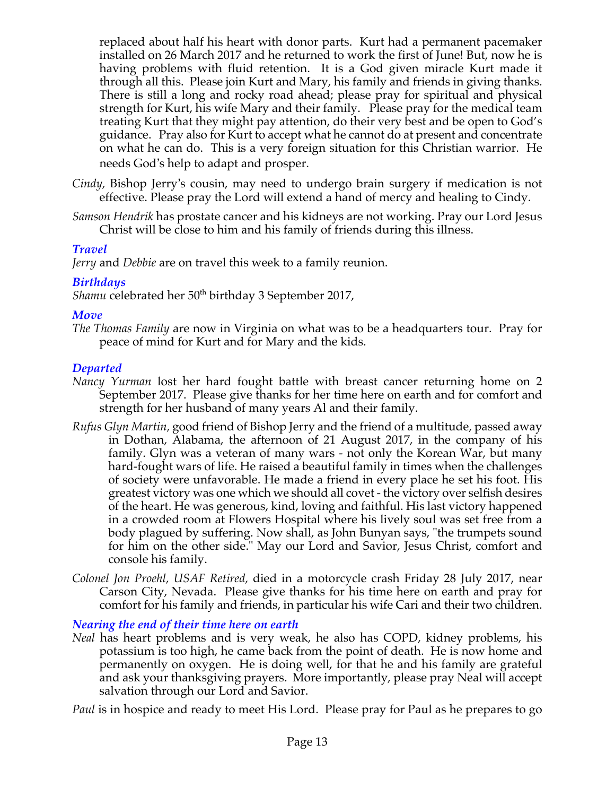replaced about half his heart with donor parts. Kurt had a permanent pacemaker installed on 26 March 2017 and he returned to work the first of June! But, now he is having problems with fluid retention. It is a God given miracle Kurt made it through all this. Please join Kurt and Mary, his family and friends in giving thanks. There is still a long and rocky road ahead; please pray for spiritual and physical strength for Kurt, his wife Mary and their family. Please pray for the medical team treating Kurt that they might pay attention, do their very best and be open to God's guidance. Pray also for Kurt to accept what he cannot do at present and concentrate on what he can do. This is a very foreign situation for this Christian warrior. He needs God's help to adapt and prosper.

- *Cindy,* Bishop Jerry's cousin, may need to undergo brain surgery if medication is not effective. Please pray the Lord will extend a hand of mercy and healing to Cindy.
- *Samson Hendrik* has prostate cancer and his kidneys are not working. Pray our Lord Jesus Christ will be close to him and his family of friends during this illness.

### *Travel*

*Jerry* and *Debbie* are on travel this week to a family reunion.

### *Birthdays*

Shamu celebrated her 50<sup>th</sup> birthday 3 September 2017,

### *Move*

*The Thomas Family* are now in Virginia on what was to be a headquarters tour. Pray for peace of mind for Kurt and for Mary and the kids.

## *Departed*

- *Nancy Yurman* lost her hard fought battle with breast cancer returning home on 2 September 2017. Please give thanks for her time here on earth and for comfort and strength for her husband of many years Al and their family.
- *Rufus Glyn Martin,* good friend of Bishop Jerry and the friend of a multitude, passed away in Dothan, Alabama, the afternoon of 21 August 2017, in the company of his family. Glyn was a veteran of many wars - not only the Korean War, but many hard-fought wars of life. He raised a beautiful family in times when the challenges of society were unfavorable. He made a friend in every place he set his foot. His greatest victory was one which we should all covet - the victory over selfish desires of the heart. He was generous, kind, loving and faithful. His last victory happened in a crowded room at Flowers Hospital where his lively soul was set free from a body plagued by suffering. Now shall, as John Bunyan says, "the trumpets sound for him on the other side." May our Lord and Savior, Jesus Christ, comfort and console his family.
- *Colonel Jon Proehl, USAF Retired,* died in a motorcycle crash Friday 28 July 2017, near Carson City, Nevada. Please give thanks for his time here on earth and pray for comfort for his family and friends, in particular his wife Cari and their two children.

*Nearing the end of their time here on earth*

*Neal* has heart problems and is very weak, he also has COPD, kidney problems, his potassium is too high, he came back from the point of death. He is now home and permanently on oxygen. He is doing well, for that he and his family are grateful and ask your thanksgiving prayers. More importantly, please pray Neal will accept salvation through our Lord and Savior.

*Paul* is in hospice and ready to meet His Lord. Please pray for Paul as he prepares to go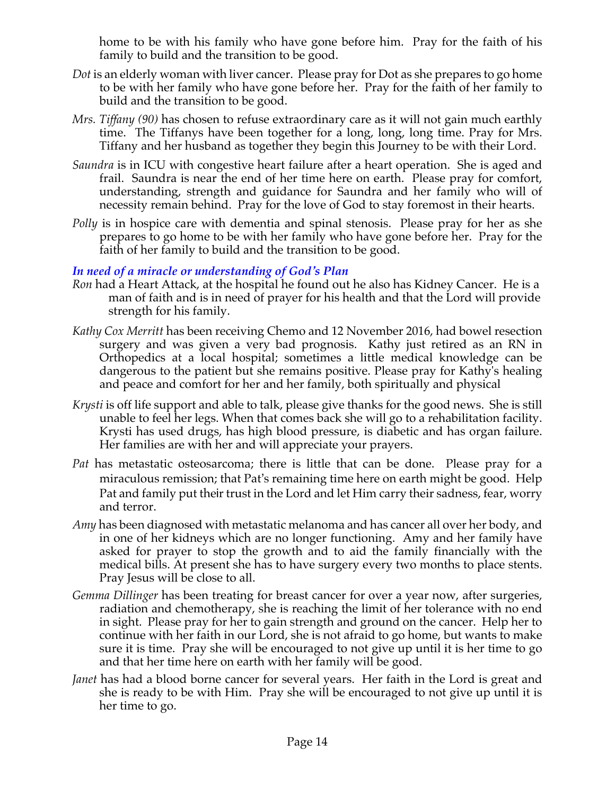home to be with his family who have gone before him. Pray for the faith of his family to build and the transition to be good.

- *Dot* is an elderly woman with liver cancer. Please pray for Dot as she prepares to go home to be with her family who have gone before her. Pray for the faith of her family to build and the transition to be good.
- *Mrs. Tiffany (90)* has chosen to refuse extraordinary care as it will not gain much earthly time. The Tiffanys have been together for a long, long, long time. Pray for Mrs. Tiffany and her husband as together they begin this Journey to be with their Lord.
- *Saundra* is in ICU with congestive heart failure after a heart operation. She is aged and frail. Saundra is near the end of her time here on earth. Please pray for comfort, understanding, strength and guidance for Saundra and her family who will of necessity remain behind. Pray for the love of God to stay foremost in their hearts.
- *Polly* is in hospice care with dementia and spinal stenosis. Please pray for her as she prepares to go home to be with her family who have gone before her. Pray for the faith of her family to build and the transition to be good.

## *In need of a miracle or understanding of God's Plan*

- *Ron* had a Heart Attack, at the hospital he found out he also has Kidney Cancer. He is a man of faith and is in need of prayer for his health and that the Lord will provide strength for his family.
- *Kathy Cox Merritt* has been receiving Chemo and 12 November 2016, had bowel resection surgery and was given a very bad prognosis. Kathy just retired as an RN in Orthopedics at a local hospital; sometimes a little medical knowledge can be dangerous to the patient but she remains positive. Please pray for Kathy's healing and peace and comfort for her and her family, both spiritually and physical
- *Krysti* is off life support and able to talk, please give thanks for the good news. She is still unable to feel her legs. When that comes back she will go to a rehabilitation facility. Krysti has used drugs, has high blood pressure, is diabetic and has organ failure. Her families are with her and will appreciate your prayers.
- *Pat* has metastatic osteosarcoma; there is little that can be done. Please pray for a miraculous remission; that Pat's remaining time here on earth might be good. Help Pat and family put their trust in the Lord and let Him carry their sadness, fear, worry and terror.
- *Amy* has been diagnosed with metastatic melanoma and has cancer all over her body, and in one of her kidneys which are no longer functioning. Amy and her family have asked for prayer to stop the growth and to aid the family financially with the medical bills. At present she has to have surgery every two months to place stents. Pray Jesus will be close to all.
- *Gemma Dillinger* has been treating for breast cancer for over a year now, after surgeries, radiation and chemotherapy, she is reaching the limit of her tolerance with no end in sight. Please pray for her to gain strength and ground on the cancer. Help her to continue with her faith in our Lord, she is not afraid to go home, but wants to make sure it is time. Pray she will be encouraged to not give up until it is her time to go and that her time here on earth with her family will be good.
- *Janet* has had a blood borne cancer for several years. Her faith in the Lord is great and she is ready to be with Him. Pray she will be encouraged to not give up until it is her time to go.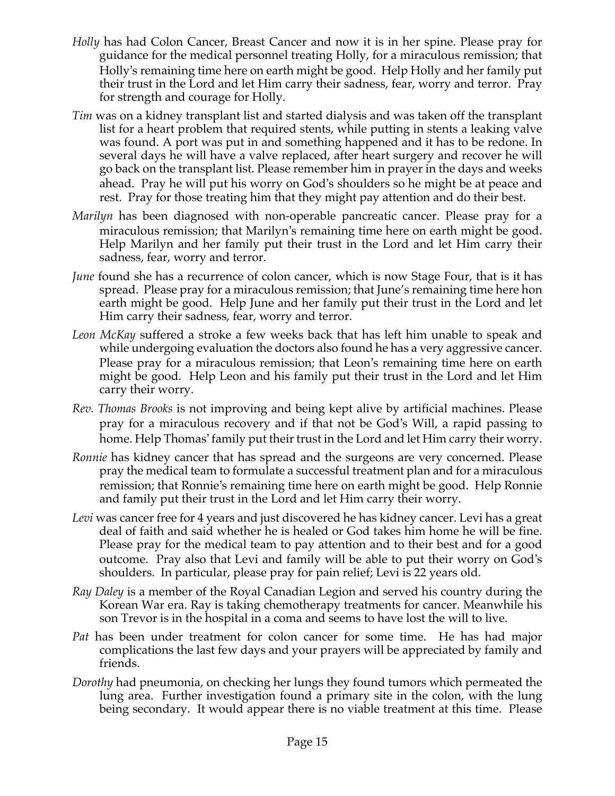- *Holly* has had Colon Cancer, Breast Cancer and now it is in her spine. Please pray for guidance for the medical personnel treating Holly, for a miraculous remission; that Holly's remaining time here on earth might be good. Help Holly and her family put their trust in the Lord and let Him carry their sadness, fear, worry and terror. Pray for strength and courage for Holly.
- *Tim* was on a kidney transplant list and started dialysis and was taken off the transplant list for a heart problem that required stents, while putting in stents a leaking valve was found. A port was put in and something happened and it has to be redone. In several days he will have a valve replaced, after heart surgery and recover he will go back on the transplant list. Please remember him in prayer in the days and weeks ahead. Pray he will put his worry on God's shoulders so he might be at peace and rest. Pray for those treating him that they might pay attention and do their best.
- *Marilyn* has been diagnosed with non-operable pancreatic cancer. Please pray for a miraculous remission; that Marilyn's remaining time here on earth might be good. Help Marilyn and her family put their trust in the Lord and let Him carry their sadness, fear, worry and terror.
- *June* found she has a recurrence of colon cancer, which is now Stage Four, that is it has spread. Please pray for a miraculous remission; that June's remaining time here hon earth might be good. Help June and her family put their trust in the Lord and let Him carry their sadness, fear, worry and terror.
- *Leon McKay* suffered a stroke a few weeks back that has left him unable to speak and while undergoing evaluation the doctors also found he has a very aggressive cancer. Please pray for a miraculous remission; that Leon's remaining time here on earth might be good. Help Leon and his family put their trust in the Lord and let Him carry their worry.
- *Rev. Thomas Brooks* is not improving and being kept alive by artificial machines. Please pray for a miraculous recovery and if that not be God's Will, a rapid passing to home. Help Thomas' family put their trust in the Lord and let Him carry their worry.
- *Ronnie* has kidney cancer that has spread and the surgeons are very concerned. Please pray the medical team to formulate a successful treatment plan and for a miraculous remission; that Ronnie's remaining time here on earth might be good. Help Ronnie and family put their trust in the Lord and let Him carry their worry.
- *Levi* was cancer free for 4 years and just discovered he has kidney cancer. Levi has a great deal of faith and said whether he is healed or God takes him home he will be fine. Please pray for the medical team to pay attention and to their best and for a good outcome. Pray also that Levi and family will be able to put their worry on God's shoulders. In particular, please pray for pain relief; Levi is 22 years old.
- *Ray Daley* is a member of the Royal Canadian Legion and served his country during the Korean War era. Ray is taking chemotherapy treatments for cancer. Meanwhile his son Trevor is in the hospital in a coma and seems to have lost the will to live.
- *Pat* has been under treatment for colon cancer for some time. He has had major complications the last few days and your prayers will be appreciated by family and friends.
- *Dorothy* had pneumonia, on checking her lungs they found tumors which permeated the lung area. Further investigation found a primary site in the colon, with the lung being secondary. It would appear there is no viable treatment at this time. Please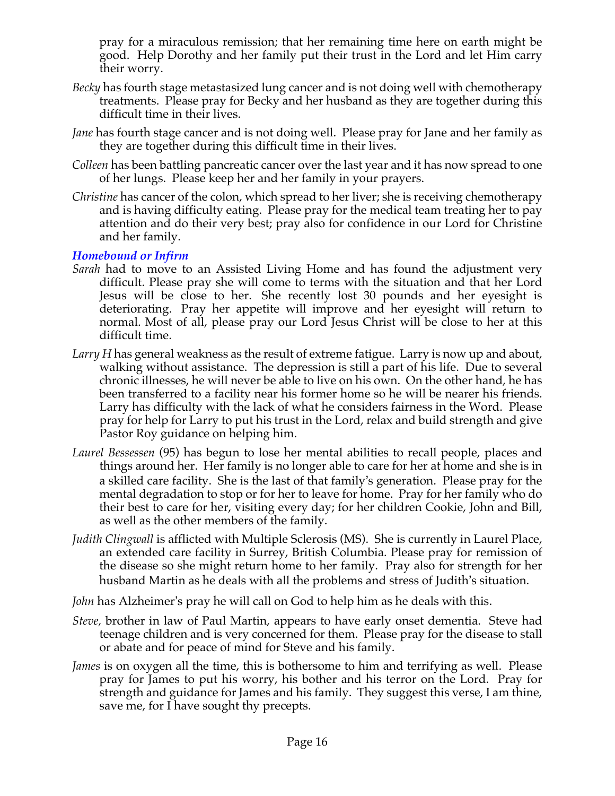pray for a miraculous remission; that her remaining time here on earth might be good. Help Dorothy and her family put their trust in the Lord and let Him carry their worry.

- *Becky* has fourth stage metastasized lung cancer and is not doing well with chemotherapy treatments. Please pray for Becky and her husband as they are together during this difficult time in their lives.
- *Jane* has fourth stage cancer and is not doing well. Please pray for Jane and her family as they are together during this difficult time in their lives.
- *Colleen* has been battling pancreatic cancer over the last year and it has now spread to one of her lungs. Please keep her and her family in your prayers.
- *Christine* has cancer of the colon, which spread to her liver; she is receiving chemotherapy and is having difficulty eating. Please pray for the medical team treating her to pay attention and do their very best; pray also for confidence in our Lord for Christine and her family.

### *Homebound or Infirm*

- *Sarah* had to move to an Assisted Living Home and has found the adjustment very difficult. Please pray she will come to terms with the situation and that her Lord Jesus will be close to her. She recently lost 30 pounds and her eyesight is deteriorating. Pray her appetite will improve and her eyesight will return to normal. Most of all, please pray our Lord Jesus Christ will be close to her at this difficult time.
- *Larry H* has general weakness as the result of extreme fatigue. Larry is now up and about, walking without assistance. The depression is still a part of his life. Due to several chronic illnesses, he will never be able to live on his own. On the other hand, he has been transferred to a facility near his former home so he will be nearer his friends. Larry has difficulty with the lack of what he considers fairness in the Word. Please pray for help for Larry to put his trust in the Lord, relax and build strength and give Pastor Roy guidance on helping him.
- *Laurel Bessessen* (95) has begun to lose her mental abilities to recall people, places and things around her. Her family is no longer able to care for her at home and she is in a skilled care facility. She is the last of that family's generation. Please pray for the mental degradation to stop or for her to leave for home. Pray for her family who do their best to care for her, visiting every day; for her children Cookie, John and Bill, as well as the other members of the family.
- *Judith Clingwall* is afflicted with Multiple Sclerosis (MS). She is currently in Laurel Place, an extended care facility in Surrey, British Columbia. Please pray for remission of the disease so she might return home to her family. Pray also for strength for her husband Martin as he deals with all the problems and stress of Judith's situation.
- *John* has Alzheimer's pray he will call on God to help him as he deals with this.
- *Steve,* brother in law of Paul Martin, appears to have early onset dementia. Steve had teenage children and is very concerned for them. Please pray for the disease to stall or abate and for peace of mind for Steve and his family.
- *James* is on oxygen all the time, this is bothersome to him and terrifying as well. Please pray for James to put his worry, his bother and his terror on the Lord. Pray for strength and guidance for James and his family. They suggest this verse, I am thine, save me, for I have sought thy precepts.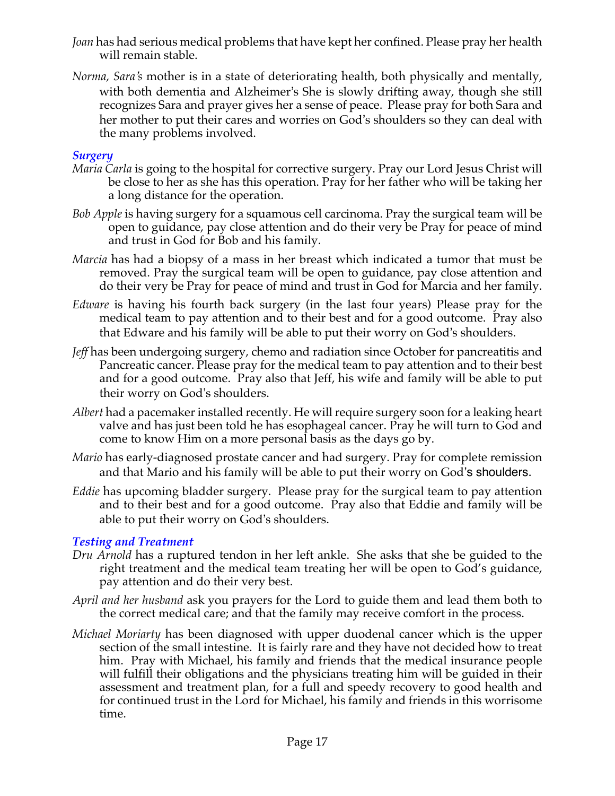- *Joan* has had serious medical problems that have kept her confined. Please pray her health will remain stable.
- *Norma, Sara's* mother is in a state of deteriorating health, both physically and mentally, with both dementia and Alzheimer's She is slowly drifting away, though she still recognizes Sara and prayer gives her a sense of peace. Please pray for both Sara and her mother to put their cares and worries on God's shoulders so they can deal with the many problems involved.

### *Surgery*

- *Maria Carla* is going to the hospital for corrective surgery. Pray our Lord Jesus Christ will be close to her as she has this operation. Pray for her father who will be taking her a long distance for the operation.
- *Bob Apple* is having surgery for a squamous cell carcinoma. Pray the surgical team will be open to guidance, pay close attention and do their very be Pray for peace of mind and trust in God for Bob and his family.
- *Marcia* has had a biopsy of a mass in her breast which indicated a tumor that must be removed. Pray the surgical team will be open to guidance, pay close attention and do their very be Pray for peace of mind and trust in God for Marcia and her family.
- *Edware* is having his fourth back surgery (in the last four years) Please pray for the medical team to pay attention and to their best and for a good outcome. Pray also that Edware and his family will be able to put their worry on God's shoulders.
- *Jeff* has been undergoing surgery, chemo and radiation since October for pancreatitis and Pancreatic cancer. Please pray for the medical team to pay attention and to their best and for a good outcome. Pray also that Jeff, his wife and family will be able to put their worry on God's shoulders.
- *Albert* had a pacemaker installed recently. He will require surgery soon for a leaking heart valve and has just been told he has esophageal cancer. Pray he will turn to God and come to know Him on a more personal basis as the days go by.
- *Mario* has early-diagnosed prostate cancer and had surgery. Pray for complete remission and that Mario and his family will be able to put their worry on God's shoulders.
- *Eddie* has upcoming bladder surgery. Please pray for the surgical team to pay attention and to their best and for a good outcome. Pray also that Eddie and family will be able to put their worry on God's shoulders.

## *Testing and Treatment*

- *Dru Arnold* has a ruptured tendon in her left ankle. She asks that she be guided to the right treatment and the medical team treating her will be open to God's guidance, pay attention and do their very best.
- *April and her husband* ask you prayers for the Lord to guide them and lead them both to the correct medical care; and that the family may receive comfort in the process.
- *Michael Moriarty* has been diagnosed with upper duodenal cancer which is the upper section of the small intestine. It is fairly rare and they have not decided how to treat him. Pray with Michael, his family and friends that the medical insurance people will fulfill their obligations and the physicians treating him will be guided in their assessment and treatment plan, for a full and speedy recovery to good health and for continued trust in the Lord for Michael, his family and friends in this worrisome time.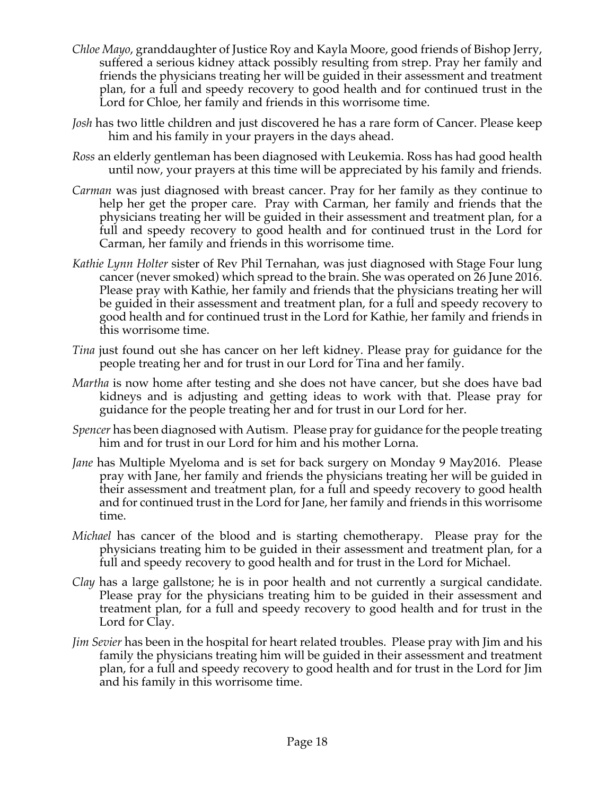- *Chloe Mayo*, granddaughter of Justice Roy and Kayla Moore, good friends of Bishop Jerry, suffered a serious kidney attack possibly resulting from strep. Pray her family and friends the physicians treating her will be guided in their assessment and treatment plan, for a full and speedy recovery to good health and for continued trust in the Lord for Chloe, her family and friends in this worrisome time.
- *Josh* has two little children and just discovered he has a rare form of Cancer. Please keep him and his family in your prayers in the days ahead.
- *Ross* an elderly gentleman has been diagnosed with Leukemia. Ross has had good health until now, your prayers at this time will be appreciated by his family and friends.
- *Carman* was just diagnosed with breast cancer. Pray for her family as they continue to help her get the proper care. Pray with Carman, her family and friends that the physicians treating her will be guided in their assessment and treatment plan, for a full and speedy recovery to good health and for continued trust in the Lord for Carman, her family and friends in this worrisome time.
- *Kathie Lynn Holter* sister of Rev Phil Ternahan, was just diagnosed with Stage Four lung cancer (never smoked) which spread to the brain. She was operated on 26 June 2016. Please pray with Kathie, her family and friends that the physicians treating her will be guided in their assessment and treatment plan, for a full and speedy recovery to good health and for continued trust in the Lord for Kathie, her family and friends in this worrisome time.
- *Tina* just found out she has cancer on her left kidney. Please pray for guidance for the people treating her and for trust in our Lord for Tina and her family.
- *Martha* is now home after testing and she does not have cancer, but she does have bad kidneys and is adjusting and getting ideas to work with that. Please pray for guidance for the people treating her and for trust in our Lord for her.
- *Spencer* has been diagnosed with Autism. Please pray for guidance for the people treating him and for trust in our Lord for him and his mother Lorna.
- *Jane* has Multiple Myeloma and is set for back surgery on Monday 9 May2016. Please pray with Jane, her family and friends the physicians treating her will be guided in their assessment and treatment plan, for a full and speedy recovery to good health and for continued trust in the Lord for Jane, her family and friends in this worrisome time.
- *Michael* has cancer of the blood and is starting chemotherapy. Please pray for the physicians treating him to be guided in their assessment and treatment plan, for a full and speedy recovery to good health and for trust in the Lord for Michael.
- *Clay* has a large gallstone; he is in poor health and not currently a surgical candidate. Please pray for the physicians treating him to be guided in their assessment and treatment plan, for a full and speedy recovery to good health and for trust in the Lord for Clay.
- *Jim Sevier* has been in the hospital for heart related troubles. Please pray with Jim and his family the physicians treating him will be guided in their assessment and treatment plan, for a full and speedy recovery to good health and for trust in the Lord for Jim and his family in this worrisome time.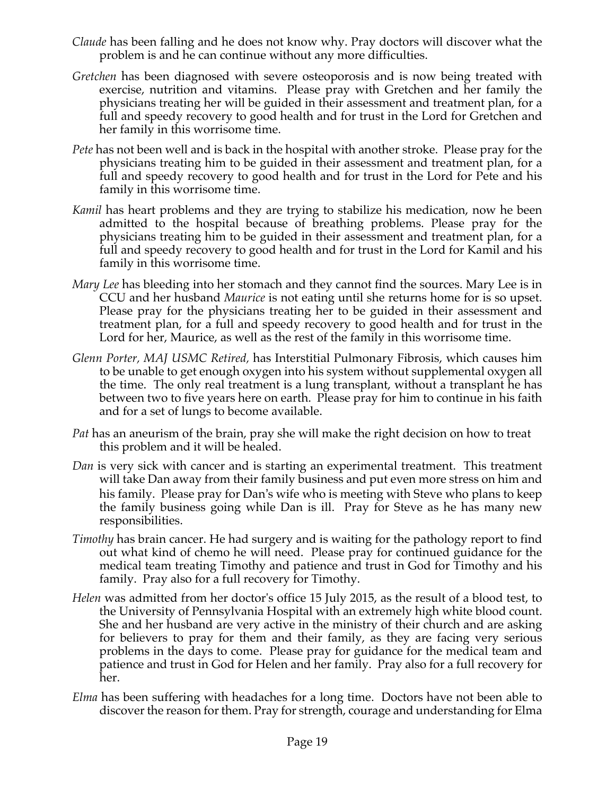- *Claude* has been falling and he does not know why. Pray doctors will discover what the problem is and he can continue without any more difficulties.
- *Gretchen* has been diagnosed with severe osteoporosis and is now being treated with exercise, nutrition and vitamins. Please pray with Gretchen and her family the physicians treating her will be guided in their assessment and treatment plan, for a full and speedy recovery to good health and for trust in the Lord for Gretchen and her family in this worrisome time.
- *Pete* has not been well and is back in the hospital with another stroke. Please pray for the physicians treating him to be guided in their assessment and treatment plan, for a full and speedy recovery to good health and for trust in the Lord for Pete and his family in this worrisome time.
- *Kamil* has heart problems and they are trying to stabilize his medication, now he been admitted to the hospital because of breathing problems. Please pray for the physicians treating him to be guided in their assessment and treatment plan, for a full and speedy recovery to good health and for trust in the Lord for Kamil and his family in this worrisome time.
- *Mary Lee* has bleeding into her stomach and they cannot find the sources. Mary Lee is in CCU and her husband *Maurice* is not eating until she returns home for is so upset. Please pray for the physicians treating her to be guided in their assessment and treatment plan, for a full and speedy recovery to good health and for trust in the Lord for her, Maurice, as well as the rest of the family in this worrisome time.
- *Glenn Porter, MAJ USMC Retired,* has Interstitial Pulmonary Fibrosis, which causes him to be unable to get enough oxygen into his system without supplemental oxygen all the time. The only real treatment is a lung transplant, without a transplant he has between two to five years here on earth. Please pray for him to continue in his faith and for a set of lungs to become available.
- *Pat* has an aneurism of the brain, pray she will make the right decision on how to treat this problem and it will be healed.
- *Dan* is very sick with cancer and is starting an experimental treatment. This treatment will take Dan away from their family business and put even more stress on him and his family. Please pray for Dan's wife who is meeting with Steve who plans to keep the family business going while Dan is ill. Pray for Steve as he has many new responsibilities.
- *Timothy* has brain cancer. He had surgery and is waiting for the pathology report to find out what kind of chemo he will need. Please pray for continued guidance for the medical team treating Timothy and patience and trust in God for Timothy and his family. Pray also for a full recovery for Timothy.
- *Helen* was admitted from her doctor's office 15 July 2015, as the result of a blood test, to the University of Pennsylvania Hospital with an extremely high white blood count. She and her husband are very active in the ministry of their church and are asking for believers to pray for them and their family, as they are facing very serious problems in the days to come. Please pray for guidance for the medical team and patience and trust in God for Helen and her family. Pray also for a full recovery for her.
- *Elma* has been suffering with headaches for a long time. Doctors have not been able to discover the reason for them. Pray for strength, courage and understanding for Elma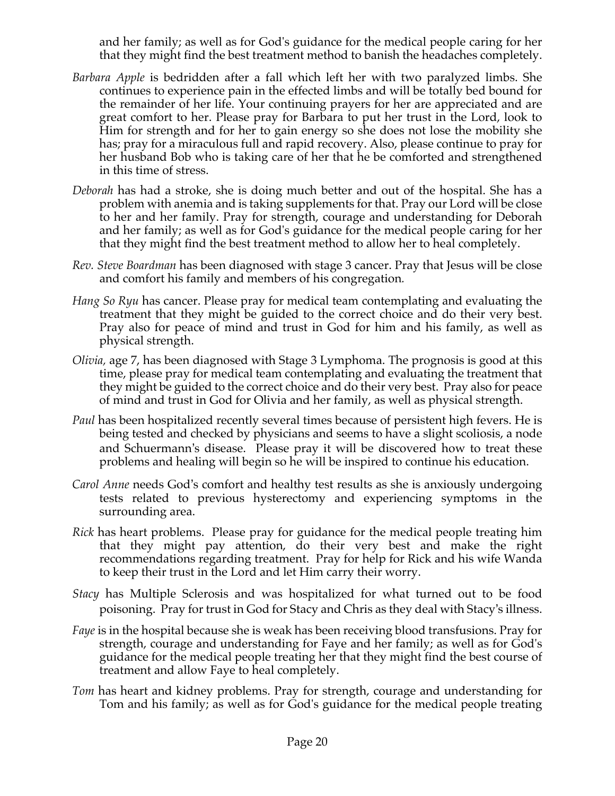and her family; as well as for God's guidance for the medical people caring for her that they might find the best treatment method to banish the headaches completely.

- *Barbara Apple* is bedridden after a fall which left her with two paralyzed limbs. She continues to experience pain in the effected limbs and will be totally bed bound for the remainder of her life. Your continuing prayers for her are appreciated and are great comfort to her. Please pray for Barbara to put her trust in the Lord, look to Him for strength and for her to gain energy so she does not lose the mobility she has; pray for a miraculous full and rapid recovery. Also, please continue to pray for her husband Bob who is taking care of her that he be comforted and strengthened in this time of stress.
- *Deborah* has had a stroke, she is doing much better and out of the hospital. She has a problem with anemia and is taking supplements for that. Pray our Lord will be close to her and her family. Pray for strength, courage and understanding for Deborah and her family; as well as for God's guidance for the medical people caring for her that they might find the best treatment method to allow her to heal completely.
- *Rev. Steve Boardman* has been diagnosed with stage 3 cancer. Pray that Jesus will be close and comfort his family and members of his congregation*.*
- *Hang So Ryu* has cancer. Please pray for medical team contemplating and evaluating the treatment that they might be guided to the correct choice and do their very best. Pray also for peace of mind and trust in God for him and his family, as well as physical strength.
- *Olivia,* age 7, has been diagnosed with Stage 3 Lymphoma. The prognosis is good at this time, please pray for medical team contemplating and evaluating the treatment that they might be guided to the correct choice and do their very best. Pray also for peace of mind and trust in God for Olivia and her family, as well as physical strength.
- *Paul* has been hospitalized recently several times because of persistent high fevers. He is being tested and checked by physicians and seems to have a slight scoliosis, a node and Schuermann's disease. Please pray it will be discovered how to treat these problems and healing will begin so he will be inspired to continue his education.
- *Carol Anne* needs God's comfort and healthy test results as she is anxiously undergoing tests related to previous hysterectomy and experiencing symptoms in the surrounding area.
- *Rick* has heart problems. Please pray for guidance for the medical people treating him that they might pay attention, do their very best and make the right recommendations regarding treatment. Pray for help for Rick and his wife Wanda to keep their trust in the Lord and let Him carry their worry.
- *Stacy* has Multiple Sclerosis and was hospitalized for what turned out to be food poisoning. Pray for trust in God for Stacy and Chris as they deal with Stacy's illness.
- *Faye* is in the hospital because she is weak has been receiving blood transfusions. Pray for strength, courage and understanding for Faye and her family; as well as for God's guidance for the medical people treating her that they might find the best course of treatment and allow Faye to heal completely.
- *Tom* has heart and kidney problems. Pray for strength, courage and understanding for Tom and his family; as well as for God's guidance for the medical people treating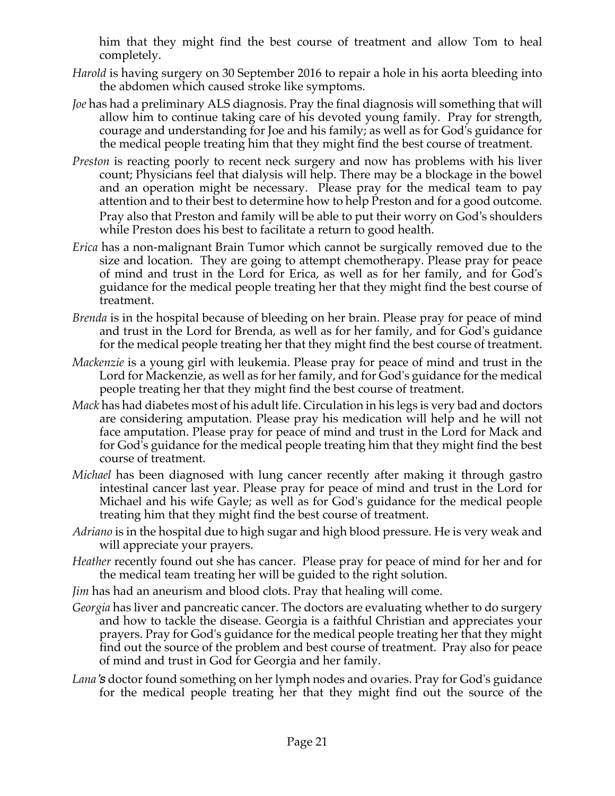him that they might find the best course of treatment and allow Tom to heal completely.

- *Harold* is having surgery on 30 September 2016 to repair a hole in his aorta bleeding into the abdomen which caused stroke like symptoms.
- *Joe* has had a preliminary ALS diagnosis. Pray the final diagnosis will something that will allow him to continue taking care of his devoted young family. Pray for strength, courage and understanding for Joe and his family; as well as for God's guidance for the medical people treating him that they might find the best course of treatment.
- *Preston* is reacting poorly to recent neck surgery and now has problems with his liver count; Physicians feel that dialysis will help. There may be a blockage in the bowel and an operation might be necessary. Please pray for the medical team to pay attention and to their best to determine how to help Preston and for a good outcome. Pray also that Preston and family will be able to put their worry on God's shoulders while Preston does his best to facilitate a return to good health.
- *Erica* has a non-malignant Brain Tumor which cannot be surgically removed due to the size and location. They are going to attempt chemotherapy. Please pray for peace of mind and trust in the Lord for Erica, as well as for her family, and for God's guidance for the medical people treating her that they might find the best course of treatment.
- *Brenda* is in the hospital because of bleeding on her brain. Please pray for peace of mind and trust in the Lord for Brenda, as well as for her family, and for God's guidance for the medical people treating her that they might find the best course of treatment.
- *Mackenzie* is a young girl with leukemia. Please pray for peace of mind and trust in the Lord for Mackenzie, as well as for her family, and for God's guidance for the medical people treating her that they might find the best course of treatment.
- *Mack* has had diabetes most of his adult life. Circulation in his legs is very bad and doctors are considering amputation. Please pray his medication will help and he will not face amputation. Please pray for peace of mind and trust in the Lord for Mack and for God's guidance for the medical people treating him that they might find the best course of treatment.
- *Michael* has been diagnosed with lung cancer recently after making it through gastro intestinal cancer last year. Please pray for peace of mind and trust in the Lord for Michael and his wife Gayle; as well as for God's guidance for the medical people treating him that they might find the best course of treatment.
- *Adriano* is in the hospital due to high sugar and high blood pressure. He is very weak and will appreciate your prayers.
- *Heather* recently found out she has cancer. Please pray for peace of mind for her and for the medical team treating her will be guided to the right solution.
- *Jim* has had an aneurism and blood clots. Pray that healing will come.
- *Georgia* has liver and pancreatic cancer. The doctors are evaluating whether to do surgery and how to tackle the disease. Georgia is a faithful Christian and appreciates your prayers. Pray for God's guidance for the medical people treating her that they might find out the source of the problem and best course of treatment. Pray also for peace of mind and trust in God for Georgia and her family.
- *Lana's* doctor found something on her lymph nodes and ovaries. Pray for God's guidance for the medical people treating her that they might find out the source of the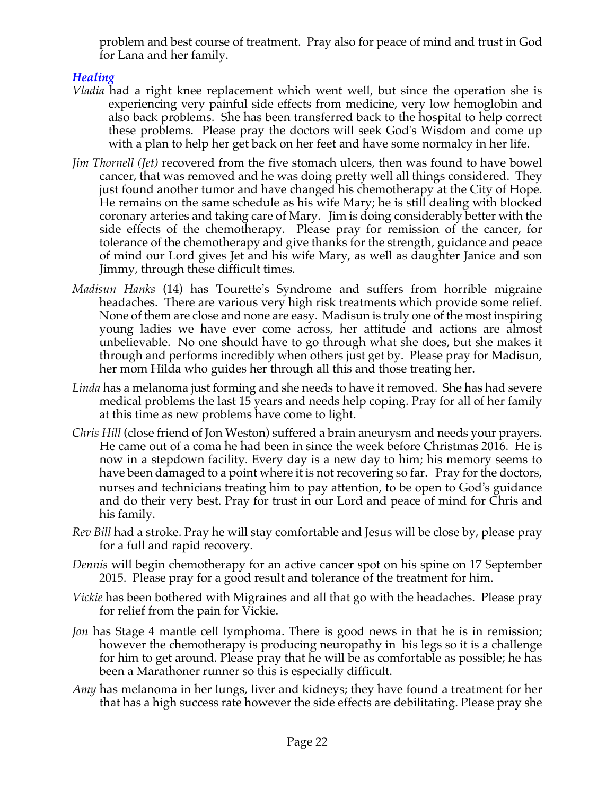problem and best course of treatment. Pray also for peace of mind and trust in God for Lana and her family.

# *Healing*

- *Vladia* had a right knee replacement which went well, but since the operation she is experiencing very painful side effects from medicine, very low hemoglobin and also back problems. She has been transferred back to the hospital to help correct these problems. Please pray the doctors will seek God's Wisdom and come up with a plan to help her get back on her feet and have some normalcy in her life.
- *Jim Thornell (Jet)* recovered from the five stomach ulcers, then was found to have bowel cancer, that was removed and he was doing pretty well all things considered. They just found another tumor and have changed his chemotherapy at the City of Hope. He remains on the same schedule as his wife Mary; he is still dealing with blocked coronary arteries and taking care of Mary. Jim is doing considerably better with the side effects of the chemotherapy. Please pray for remission of the cancer, for tolerance of the chemotherapy and give thanks for the strength, guidance and peace of mind our Lord gives Jet and his wife Mary, as well as daughter Janice and son Jimmy, through these difficult times.
- *Madisun Hanks* (14) has Tourette's Syndrome and suffers from horrible migraine headaches. There are various very high risk treatments which provide some relief. None of them are close and none are easy. Madisun is truly one of the most inspiring young ladies we have ever come across, her attitude and actions are almost unbelievable. No one should have to go through what she does, but she makes it through and performs incredibly when others just get by. Please pray for Madisun, her mom Hilda who guides her through all this and those treating her.
- *Linda* has a melanoma just forming and she needs to have it removed. She has had severe medical problems the last 15 years and needs help coping. Pray for all of her family at this time as new problems have come to light.
- *Chris Hill* (close friend of Jon Weston) suffered a brain aneurysm and needs your prayers. He came out of a coma he had been in since the week before Christmas 2016. He is now in a stepdown facility. Every day is a new day to him; his memory seems to have been damaged to a point where it is not recovering so far. Pray for the doctors, nurses and technicians treating him to pay attention, to be open to God's guidance and do their very best. Pray for trust in our Lord and peace of mind for Chris and his family.
- *Rev Bill* had a stroke. Pray he will stay comfortable and Jesus will be close by, please pray for a full and rapid recovery.
- *Dennis* will begin chemotherapy for an active cancer spot on his spine on 17 September 2015. Please pray for a good result and tolerance of the treatment for him.
- *Vickie* has been bothered with Migraines and all that go with the headaches. Please pray for relief from the pain for Vickie.
- *Jon* has Stage 4 mantle cell lymphoma. There is good news in that he is in remission; however the chemotherapy is producing neuropathy in his legs so it is a challenge for him to get around. Please pray that he will be as comfortable as possible; he has been a Marathoner runner so this is especially difficult.
- *Amy* has melanoma in her lungs, liver and kidneys; they have found a treatment for her that has a high success rate however the side effects are debilitating. Please pray she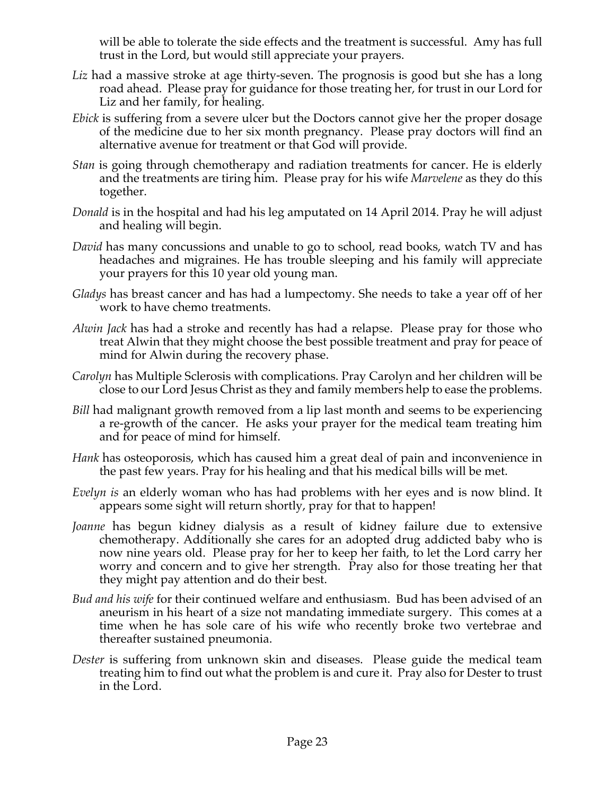will be able to tolerate the side effects and the treatment is successful. Amy has full trust in the Lord, but would still appreciate your prayers.

- Liz had a massive stroke at age thirty-seven. The prognosis is good but she has a long road ahead. Please pray for guidance for those treating her, for trust in our Lord for Liz and her family, for healing.
- *Ebick* is suffering from a severe ulcer but the Doctors cannot give her the proper dosage of the medicine due to her six month pregnancy. Please pray doctors will find an alternative avenue for treatment or that God will provide.
- *Stan* is going through chemotherapy and radiation treatments for cancer. He is elderly and the treatments are tiring him. Please pray for his wife *Marvelene* as they do this together.
- *Donald* is in the hospital and had his leg amputated on 14 April 2014. Pray he will adjust and healing will begin.
- *David* has many concussions and unable to go to school, read books, watch TV and has headaches and migraines. He has trouble sleeping and his family will appreciate your prayers for this 10 year old young man.
- *Gladys* has breast cancer and has had a lumpectomy. She needs to take a year off of her work to have chemo treatments.
- *Alwin Jack* has had a stroke and recently has had a relapse. Please pray for those who treat Alwin that they might choose the best possible treatment and pray for peace of mind for Alwin during the recovery phase.
- *Carolyn* has Multiple Sclerosis with complications. Pray Carolyn and her children will be close to our Lord Jesus Christ as they and family members help to ease the problems.
- *Bill* had malignant growth removed from a lip last month and seems to be experiencing a re-growth of the cancer. He asks your prayer for the medical team treating him and for peace of mind for himself.
- *Hank* has osteoporosis, which has caused him a great deal of pain and inconvenience in the past few years. Pray for his healing and that his medical bills will be met.
- *Evelyn is* an elderly woman who has had problems with her eyes and is now blind. It appears some sight will return shortly, pray for that to happen!
- *Joanne* has begun kidney dialysis as a result of kidney failure due to extensive chemotherapy. Additionally she cares for an adopted drug addicted baby who is now nine years old. Please pray for her to keep her faith, to let the Lord carry her worry and concern and to give her strength. Pray also for those treating her that they might pay attention and do their best.
- *Bud and his wife* for their continued welfare and enthusiasm. Bud has been advised of an aneurism in his heart of a size not mandating immediate surgery. This comes at a time when he has sole care of his wife who recently broke two vertebrae and thereafter sustained pneumonia.
- *Dester* is suffering from unknown skin and diseases. Please guide the medical team treating him to find out what the problem is and cure it. Pray also for Dester to trust in the Lord.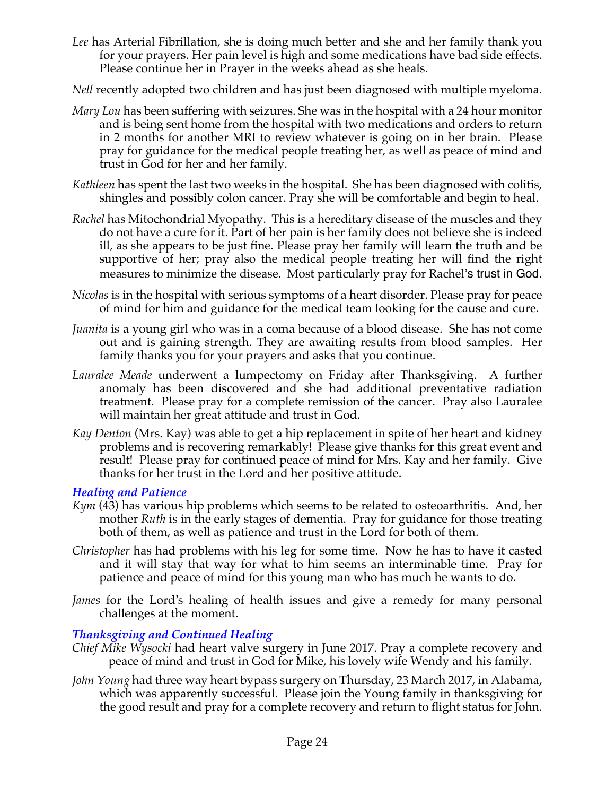- *Lee* has Arterial Fibrillation, she is doing much better and she and her family thank you for your prayers. Her pain level is high and some medications have bad side effects. Please continue her in Prayer in the weeks ahead as she heals.
- *Nell* recently adopted two children and has just been diagnosed with multiple myeloma.
- *Mary Lou* has been suffering with seizures. She was in the hospital with a 24 hour monitor and is being sent home from the hospital with two medications and orders to return in 2 months for another MRI to review whatever is going on in her brain. Please pray for guidance for the medical people treating her, as well as peace of mind and trust in God for her and her family.
- *Kathleen* has spent the last two weeks in the hospital. She has been diagnosed with colitis, shingles and possibly colon cancer. Pray she will be comfortable and begin to heal.
- *Rachel* has Mitochondrial Myopathy. This is a hereditary disease of the muscles and they do not have a cure for it. Part of her pain is her family does not believe she is indeed ill, as she appears to be just fine. Please pray her family will learn the truth and be supportive of her; pray also the medical people treating her will find the right measures to minimize the disease. Most particularly pray for Rachel's trust in God.
- *Nicolas* is in the hospital with serious symptoms of a heart disorder. Please pray for peace of mind for him and guidance for the medical team looking for the cause and cure.
- *Juanita* is a young girl who was in a coma because of a blood disease. She has not come out and is gaining strength. They are awaiting results from blood samples. Her family thanks you for your prayers and asks that you continue.
- *Lauralee Meade* underwent a lumpectomy on Friday after Thanksgiving. A further anomaly has been discovered and she had additional preventative radiation treatment. Please pray for a complete remission of the cancer. Pray also Lauralee will maintain her great attitude and trust in God.
- *Kay Denton* (Mrs. Kay) was able to get a hip replacement in spite of her heart and kidney problems and is recovering remarkably! Please give thanks for this great event and result! Please pray for continued peace of mind for Mrs. Kay and her family. Give thanks for her trust in the Lord and her positive attitude.

## *Healing and Patience*

- *Kym* (43) has various hip problems which seems to be related to osteoarthritis. And, her mother *Ruth* is in the early stages of dementia. Pray for guidance for those treating both of them, as well as patience and trust in the Lord for both of them.
- *Christopher* has had problems with his leg for some time. Now he has to have it casted and it will stay that way for what to him seems an interminable time. Pray for patience and peace of mind for this young man who has much he wants to do.
- *James* for the Lord's healing of health issues and give a remedy for many personal challenges at the moment.

## *Thanksgiving and Continued Healing*

- *Chief Mike Wysocki* had heart valve surgery in June 2017. Pray a complete recovery and peace of mind and trust in God for Mike, his lovely wife Wendy and his family.
- *John Young* had three way heart bypass surgery on Thursday, 23 March 2017, in Alabama, which was apparently successful. Please join the Young family in thanksgiving for the good result and pray for a complete recovery and return to flight status for John.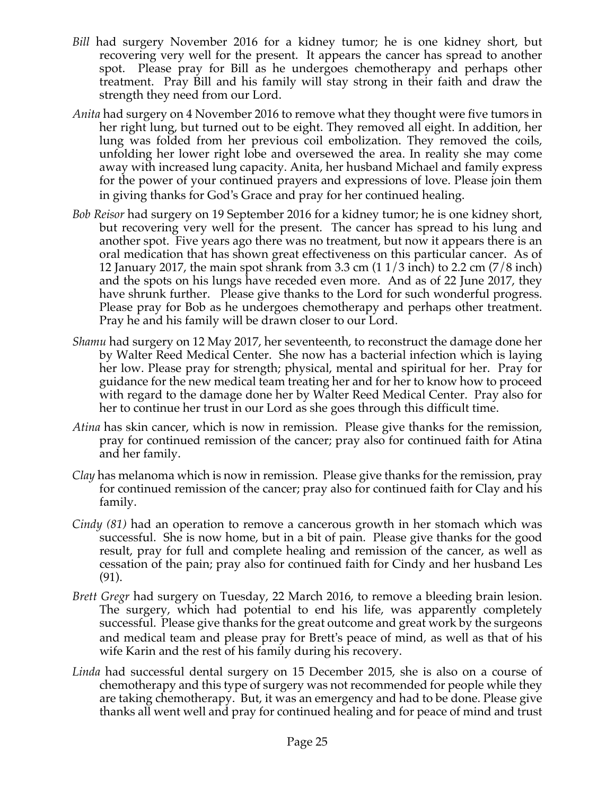- *Bill* had surgery November 2016 for a kidney tumor; he is one kidney short, but recovering very well for the present. It appears the cancer has spread to another spot. Please pray for Bill as he undergoes chemotherapy and perhaps other treatment. Pray Bill and his family will stay strong in their faith and draw the strength they need from our Lord.
- *Anita* had surgery on 4 November 2016 to remove what they thought were five tumors in her right lung, but turned out to be eight. They removed all eight. In addition, her lung was folded from her previous coil embolization. They removed the coils, unfolding her lower right lobe and oversewed the area. In reality she may come away with increased lung capacity. Anita, her husband Michael and family express for the power of your continued prayers and expressions of love. Please join them in giving thanks for God's Grace and pray for her continued healing.
- *Bob Reisor* had surgery on 19 September 2016 for a kidney tumor; he is one kidney short, but recovering very well for the present. The cancer has spread to his lung and another spot. Five years ago there was no treatment, but now it appears there is an oral medication that has shown great effectiveness on this particular cancer. As of 12 January 2017, the main spot shrank from 3.3 cm (1 1/3 inch) to 2.2 cm (7/8 inch) and the spots on his lungs have receded even more. And as of 22 June 2017, they have shrunk further. Please give thanks to the Lord for such wonderful progress. Please pray for Bob as he undergoes chemotherapy and perhaps other treatment. Pray he and his family will be drawn closer to our Lord.
- *Shamu* had surgery on 12 May 2017, her seventeenth, to reconstruct the damage done her by Walter Reed Medical Center. She now has a bacterial infection which is laying her low. Please pray for strength; physical, mental and spiritual for her. Pray for guidance for the new medical team treating her and for her to know how to proceed with regard to the damage done her by Walter Reed Medical Center. Pray also for her to continue her trust in our Lord as she goes through this difficult time.
- *Atina* has skin cancer, which is now in remission. Please give thanks for the remission, pray for continued remission of the cancer; pray also for continued faith for Atina and her family.
- *Clay* has melanoma which is now in remission. Please give thanks for the remission, pray for continued remission of the cancer; pray also for continued faith for Clay and his family.
- *Cindy (81)* had an operation to remove a cancerous growth in her stomach which was successful. She is now home, but in a bit of pain. Please give thanks for the good result, pray for full and complete healing and remission of the cancer, as well as cessation of the pain; pray also for continued faith for Cindy and her husband Les (91).
- *Brett Gregr* had surgery on Tuesday, 22 March 2016, to remove a bleeding brain lesion. The surgery, which had potential to end his life, was apparently completely successful. Please give thanks for the great outcome and great work by the surgeons and medical team and please pray for Brett's peace of mind, as well as that of his wife Karin and the rest of his family during his recovery.
- *Linda* had successful dental surgery on 15 December 2015, she is also on a course of chemotherapy and this type of surgery was not recommended for people while they are taking chemotherapy. But, it was an emergency and had to be done. Please give thanks all went well and pray for continued healing and for peace of mind and trust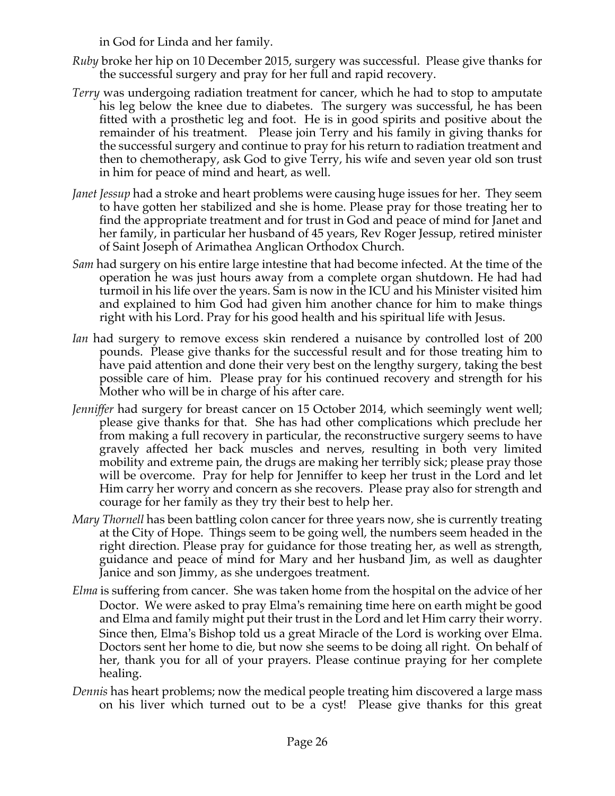in God for Linda and her family.

- *Ruby* broke her hip on 10 December 2015, surgery was successful. Please give thanks for the successful surgery and pray for her full and rapid recovery.
- *Terry* was undergoing radiation treatment for cancer, which he had to stop to amputate his leg below the knee due to diabetes. The surgery was successful, he has been fitted with a prosthetic leg and foot. He is in good spirits and positive about the remainder of his treatment. Please join Terry and his family in giving thanks for the successful surgery and continue to pray for his return to radiation treatment and then to chemotherapy, ask God to give Terry, his wife and seven year old son trust in him for peace of mind and heart, as well.
- *Janet Jessup* had a stroke and heart problems were causing huge issues for her. They seem to have gotten her stabilized and she is home. Please pray for those treating her to find the appropriate treatment and for trust in God and peace of mind for Janet and her family, in particular her husband of 45 years, Rev Roger Jessup, retired minister of Saint Joseph of Arimathea Anglican Orthodox Church.
- *Sam* had surgery on his entire large intestine that had become infected. At the time of the operation he was just hours away from a complete organ shutdown. He had had turmoil in his life over the years. Sam is now in the ICU and his Minister visited him and explained to him God had given him another chance for him to make things right with his Lord. Pray for his good health and his spiritual life with Jesus.
- *Ian* had surgery to remove excess skin rendered a nuisance by controlled lost of 200 pounds. Please give thanks for the successful result and for those treating him to have paid attention and done their very best on the lengthy surgery, taking the best possible care of him. Please pray for his continued recovery and strength for his Mother who will be in charge of his after care.
- *Jenniffer* had surgery for breast cancer on 15 October 2014, which seemingly went well; please give thanks for that. She has had other complications which preclude her from making a full recovery in particular, the reconstructive surgery seems to have gravely affected her back muscles and nerves, resulting in both very limited mobility and extreme pain, the drugs are making her terribly sick; please pray those will be overcome. Pray for help for Jenniffer to keep her trust in the Lord and let Him carry her worry and concern as she recovers. Please pray also for strength and courage for her family as they try their best to help her.
- *Mary Thornell* has been battling colon cancer for three years now, she is currently treating at the City of Hope. Things seem to be going well, the numbers seem headed in the right direction. Please pray for guidance for those treating her, as well as strength, guidance and peace of mind for Mary and her husband Jim, as well as daughter Janice and son Jimmy, as she undergoes treatment.
- *Elma* is suffering from cancer. She was taken home from the hospital on the advice of her Doctor. We were asked to pray Elma's remaining time here on earth might be good and Elma and family might put their trust in the Lord and let Him carry their worry. Since then, Elma's Bishop told us a great Miracle of the Lord is working over Elma. Doctors sent her home to die, but now she seems to be doing all right. On behalf of her, thank you for all of your prayers. Please continue praying for her complete healing.
- *Dennis* has heart problems; now the medical people treating him discovered a large mass on his liver which turned out to be a cyst! Please give thanks for this great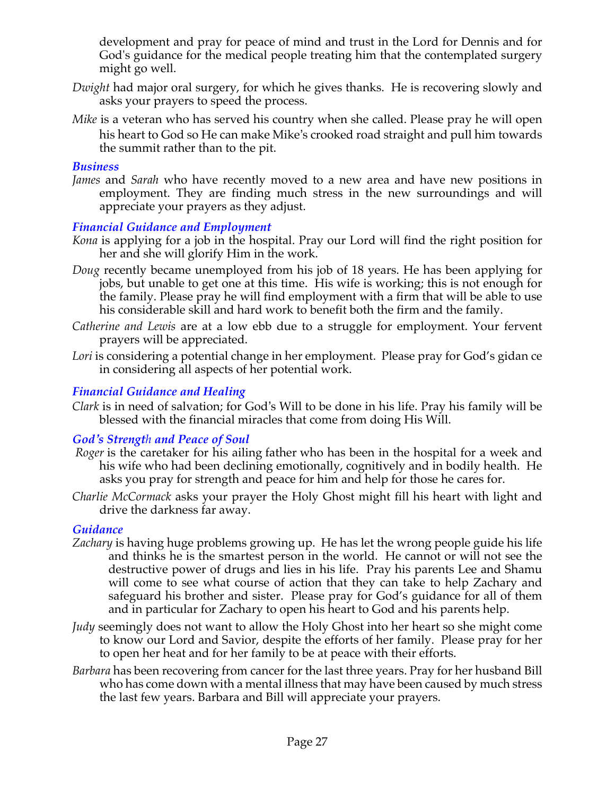development and pray for peace of mind and trust in the Lord for Dennis and for God's guidance for the medical people treating him that the contemplated surgery might go well.

- *Dwight* had major oral surgery, for which he gives thanks. He is recovering slowly and asks your prayers to speed the process.
- *Mike* is a veteran who has served his country when she called. Please pray he will open his heart to God so He can make Mike's crooked road straight and pull him towards the summit rather than to the pit.

#### *Business*

*James* and *Sarah* who have recently moved to a new area and have new positions in employment. They are finding much stress in the new surroundings and will appreciate your prayers as they adjust.

## *Financial Guidance and Employment*

- *Kona* is applying for a job in the hospital. Pray our Lord will find the right position for her and she will glorify Him in the work.
- *Doug* recently became unemployed from his job of 18 years. He has been applying for jobs, but unable to get one at this time. His wife is working; this is not enough for the family. Please pray he will find employment with a firm that will be able to use his considerable skill and hard work to benefit both the firm and the family.
- *Catherine and Lewis* are at a low ebb due to a struggle for employment. Your fervent prayers will be appreciated.
- *Lori* is considering a potential change in her employment. Please pray for God's gidan ce in considering all aspects of her potential work.

# *Financial Guidance and Healing*

*Clark* is in need of salvation; for God's Will to be done in his life. Pray his family will be blessed with the financial miracles that come from doing His Will.

## *God's Strength and Peace of Soul*

- *Roger* is the caretaker for his ailing father who has been in the hospital for a week and his wife who had been declining emotionally, cognitively and in bodily health. He asks you pray for strength and peace for him and help for those he cares for.
- *Charlie McCormack* asks your prayer the Holy Ghost might fill his heart with light and drive the darkness far away.

## *Guidance*

- *Zachary* is having huge problems growing up. He has let the wrong people guide his life and thinks he is the smartest person in the world. He cannot or will not see the destructive power of drugs and lies in his life. Pray his parents Lee and Shamu will come to see what course of action that they can take to help Zachary and safeguard his brother and sister. Please pray for God's guidance for all of them and in particular for Zachary to open his heart to God and his parents help.
- *Judy* seemingly does not want to allow the Holy Ghost into her heart so she might come to know our Lord and Savior, despite the efforts of her family. Please pray for her to open her heat and for her family to be at peace with their efforts.
- *Barbara* has been recovering from cancer for the last three years. Pray for her husband Bill who has come down with a mental illness that may have been caused by much stress the last few years. Barbara and Bill will appreciate your prayers.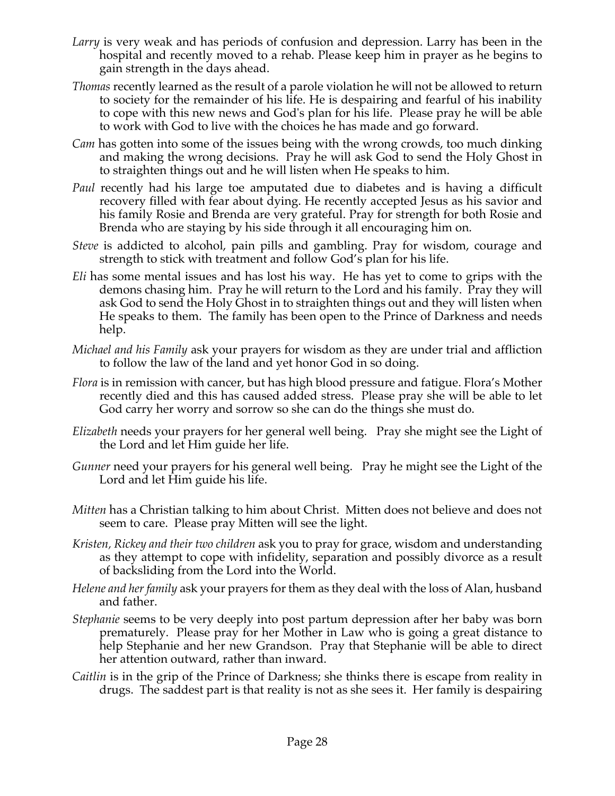- *Larry* is very weak and has periods of confusion and depression. Larry has been in the hospital and recently moved to a rehab. Please keep him in prayer as he begins to gain strength in the days ahead.
- *Thomas* recently learned as the result of a parole violation he will not be allowed to return to society for the remainder of his life. He is despairing and fearful of his inability to cope with this new news and God's plan for his life. Please pray he will be able to work with God to live with the choices he has made and go forward.
- *Cam* has gotten into some of the issues being with the wrong crowds, too much dinking and making the wrong decisions. Pray he will ask God to send the Holy Ghost in to straighten things out and he will listen when He speaks to him.
- *Paul* recently had his large toe amputated due to diabetes and is having a difficult recovery filled with fear about dying. He recently accepted Jesus as his savior and his family Rosie and Brenda are very grateful. Pray for strength for both Rosie and Brenda who are staying by his side through it all encouraging him on.
- *Steve* is addicted to alcohol, pain pills and gambling. Pray for wisdom, courage and strength to stick with treatment and follow God's plan for his life.
- *Eli* has some mental issues and has lost his way. He has yet to come to grips with the demons chasing him. Pray he will return to the Lord and his family. Pray they will ask God to send the Holy Ghost in to straighten things out and they will listen when He speaks to them. The family has been open to the Prince of Darkness and needs help.
- *Michael and his Family* ask your prayers for wisdom as they are under trial and affliction to follow the law of the land and yet honor God in so doing.
- *Flora* is in remission with cancer, but has high blood pressure and fatigue. Flora's Mother recently died and this has caused added stress. Please pray she will be able to let God carry her worry and sorrow so she can do the things she must do.
- *Elizabeth* needs your prayers for her general well being. Pray she might see the Light of the Lord and let Him guide her life.
- *Gunner* need your prayers for his general well being. Pray he might see the Light of the Lord and let Him guide his life.
- *Mitten* has a Christian talking to him about Christ. Mitten does not believe and does not seem to care. Please pray Mitten will see the light.
- *Kristen, Rickey and their two children* ask you to pray for grace, wisdom and understanding as they attempt to cope with infidelity, separation and possibly divorce as a result of backsliding from the Lord into the World.
- *Helene and her family* ask your prayers for them as they deal with the loss of Alan, husband and father.
- *Stephanie* seems to be very deeply into post partum depression after her baby was born prematurely. Please pray for her Mother in Law who is going a great distance to help Stephanie and her new Grandson. Pray that Stephanie will be able to direct her attention outward, rather than inward.
- *Caitlin* is in the grip of the Prince of Darkness; she thinks there is escape from reality in drugs. The saddest part is that reality is not as she sees it. Her family is despairing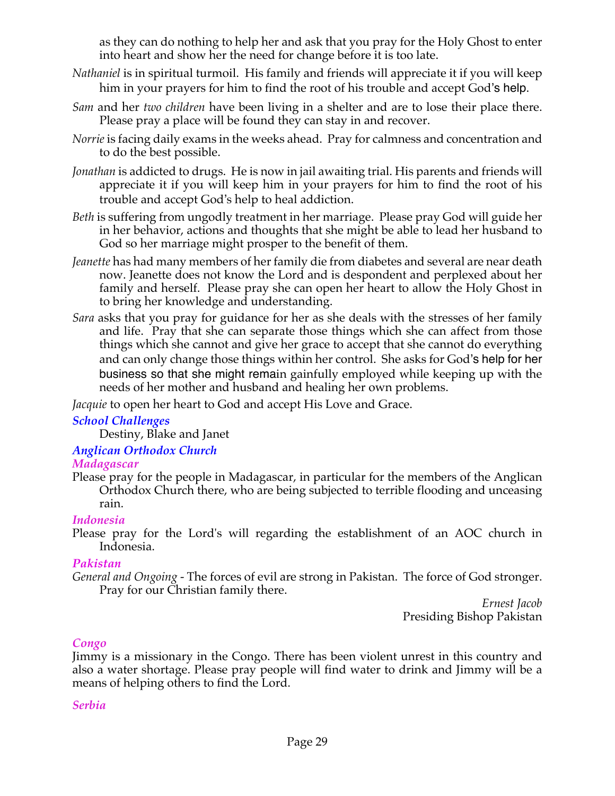as they can do nothing to help her and ask that you pray for the Holy Ghost to enter into heart and show her the need for change before it is too late.

- *Nathaniel* is in spiritual turmoil. His family and friends will appreciate it if you will keep him in your prayers for him to find the root of his trouble and accept God's help.
- *Sam* and her *two children* have been living in a shelter and are to lose their place there. Please pray a place will be found they can stay in and recover.
- *Norrie* is facing daily exams in the weeks ahead. Pray for calmness and concentration and to do the best possible.
- *Jonathan* is addicted to drugs. He is now in jail awaiting trial. His parents and friends will appreciate it if you will keep him in your prayers for him to find the root of his trouble and accept God's help to heal addiction.
- *Beth* is suffering from ungodly treatment in her marriage. Please pray God will guide her in her behavior, actions and thoughts that she might be able to lead her husband to God so her marriage might prosper to the benefit of them.
- *Jeanette* has had many members of her family die from diabetes and several are near death now. Jeanette does not know the Lord and is despondent and perplexed about her family and herself. Please pray she can open her heart to allow the Holy Ghost in to bring her knowledge and understanding.
- *Sara* asks that you pray for guidance for her as she deals with the stresses of her family and life. Pray that she can separate those things which she can affect from those things which she cannot and give her grace to accept that she cannot do everything and can only change those things within her control. She asks for God's help for her business so that she might remain gainfully employed while keeping up with the needs of her mother and husband and healing her own problems.

*Jacquie* to open her heart to God and accept His Love and Grace.

#### *School Challenges*

Destiny, Blake and Janet

# *Anglican Orthodox Church*

#### *Madagascar*

Please pray for the people in Madagascar, in particular for the members of the Anglican Orthodox Church there, who are being subjected to terrible flooding and unceasing rain.

#### *Indonesia*

Please pray for the Lord's will regarding the establishment of an AOC church in Indonesia.

#### *Pakistan*

*General and Ongoing -* The forces of evil are strong in Pakistan. The force of God stronger. Pray for our Christian family there.

*Ernest Jacob* Presiding Bishop Pakistan

## *Congo*

Jimmy is a missionary in the Congo. There has been violent unrest in this country and also a water shortage. Please pray people will find water to drink and Jimmy will be a means of helping others to find the Lord.

#### *Serbia*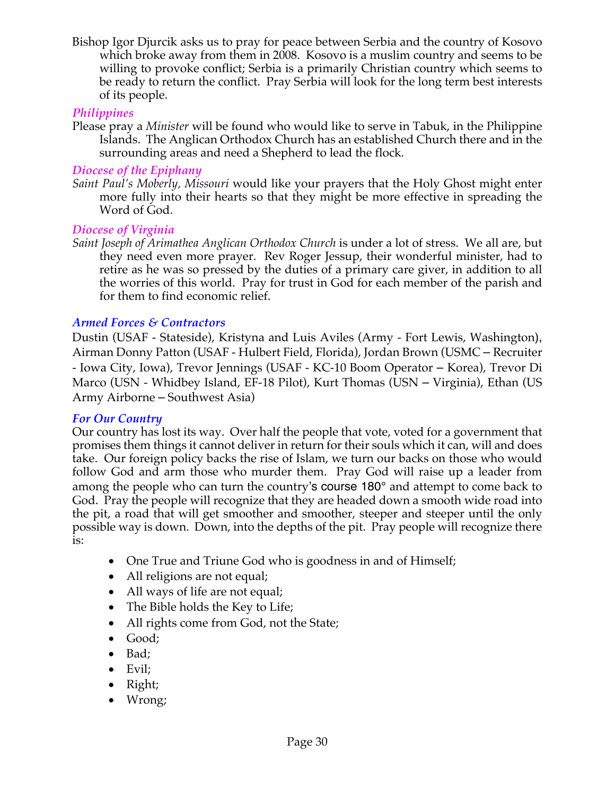Bishop Igor Djurcik asks us to pray for peace between Serbia and the country of Kosovo which broke away from them in 2008. Kosovo is a muslim country and seems to be willing to provoke conflict; Serbia is a primarily Christian country which seems to be ready to return the conflict. Pray Serbia will look for the long term best interests of its people.

### *Philippines*

Please pray a *Minister* will be found who would like to serve in Tabuk, in the Philippine Islands. The Anglican Orthodox Church has an established Church there and in the surrounding areas and need a Shepherd to lead the flock*.*

### *Diocese of the Epiphany*

*Saint Paul's Moberly, Missouri* would like your prayers that the Holy Ghost might enter more fully into their hearts so that they might be more effective in spreading the Word of God.

### *Diocese of Virginia*

*Saint Joseph of Arimathea Anglican Orthodox Church* is under a lot of stress. We all are, but they need even more prayer. Rev Roger Jessup, their wonderful minister, had to retire as he was so pressed by the duties of a primary care giver, in addition to all the worries of this world. Pray for trust in God for each member of the parish and for them to find economic relief.

### *Armed Forces & Contractors*

Dustin (USAF - Stateside), Kristyna and Luis Aviles (Army - Fort Lewis, Washington), Airman Donny Patton (USAF - Hulbert Field, Florida), Jordan Brown (USMC – Recruiter - Iowa City, Iowa), Trevor Jennings (USAF - KC-10 Boom Operator – Korea), Trevor Di Marco (USN - Whidbey Island, EF-18 Pilot), Kurt Thomas (USN – Virginia), Ethan (US Army Airborne – Southwest Asia)

#### *For Our Country*

Our country has lost its way. Over half the people that vote, voted for a government that promises them things it cannot deliver in return for their souls which it can, will and does take. Our foreign policy backs the rise of Islam, we turn our backs on those who would follow God and arm those who murder them. Pray God will raise up a leader from among the people who can turn the country's course 180° and attempt to come back to God. Pray the people will recognize that they are headed down a smooth wide road into the pit, a road that will get smoother and smoother, steeper and steeper until the only possible way is down. Down, into the depths of the pit. Pray people will recognize there is:

- One True and Triune God who is goodness in and of Himself;
- All religions are not equal;
- All ways of life are not equal;
- The Bible holds the Key to Life;
- All rights come from God, not the State;
- Good;
- Bad;
- Evil;
- Right;
- Wrong;